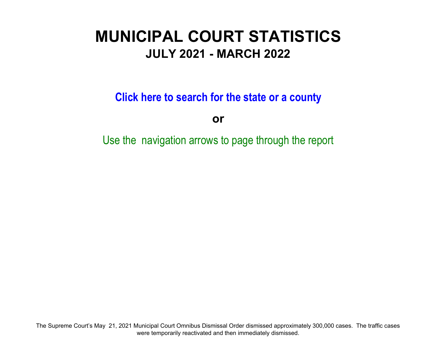# **MUNICIPAL COURT STATISTICSJULY 2021 - MARCH 2022**

**Click here to search for the state or a count y**

**or**

Use the navigation arrows to page through the report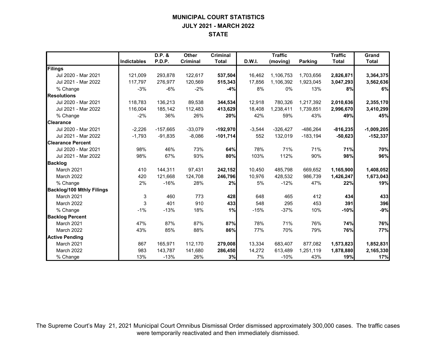# **MUNICIPAL COURT STATISTICS JULY 2021 - MARCH 2022 STATE**

|                                  |             | D.P. &     | Other           | Criminal     |               | <b>Traffic</b> |            | <b>Traffic</b> | Grand        |
|----------------------------------|-------------|------------|-----------------|--------------|---------------|----------------|------------|----------------|--------------|
|                                  | Indictables | P.D.P.     | <b>Criminal</b> | <b>Total</b> | <b>D.W.I.</b> | (moving)       | Parking    | <b>Total</b>   | <b>Total</b> |
| Filings                          |             |            |                 |              |               |                |            |                |              |
| Jul 2020 - Mar 2021              | 121,009     | 293,878    | 122,617         | 537,504      | 16,462        | 1,106,753      | 1,703,656  | 2,826,871      | 3,364,375    |
| Jul 2021 - Mar 2022              | 117.797     | 276,977    | 120,569         | 515,343      | 17,856        | 1,106,392      | 1,923,045  | 3,047,293      | 3,562,636    |
| % Change                         | $-3%$       | $-6%$      | $-2%$           | $-4%$        | 8%            | 0%             | 13%        | 8%             | 6%           |
| <b>Resolutions</b>               |             |            |                 |              |               |                |            |                |              |
| Jul 2020 - Mar 2021              | 118.783     | 136,213    | 89,538          | 344,534      | 12,918        | 780.326        | 1,217,392  | 2,010,636      | 2,355,170    |
| Jul 2021 - Mar 2022              | 116,004     | 185,142    | 112,483         | 413,629      | 18,408        | 1,238,411      | 1,739,851  | 2,996,670      | 3,410,299    |
| % Change                         | $-2%$       | 36%        | 26%             | 20%          | 42%           | 59%            | 43%        | 49%            | 45%          |
| <b>Clearance</b>                 |             |            |                 |              |               |                |            |                |              |
| Jul 2020 - Mar 2021              | $-2,226$    | $-157,665$ | $-33,079$       | $-192,970$   | $-3,544$      | $-326,427$     | $-486,264$ | $-816,235$     | $-1,009,205$ |
| Jul 2021 - Mar 2022              | $-1.793$    | $-91,835$  | $-8,086$        | $-101,714$   | 552           | 132,019        | $-183,194$ | $-50,623$      | $-152,337$   |
| <b>Clearance Percent</b>         |             |            |                 |              |               |                |            |                |              |
| Jul 2020 - Mar 2021              | 98%         | 46%        | 73%             | 64%          | 78%           | 71%            | 71%        | 71%            | 70%          |
| Jul 2021 - Mar 2022              | 98%         | 67%        | 93%             | 80%          | 103%          | 112%           | 90%        | 98%            | 96%          |
| <b>Backlog</b>                   |             |            |                 |              |               |                |            |                |              |
| March 2021                       | 410         | 144,311    | 97,431          | 242,152      | 10,450        | 485,798        | 669,652    | 1,165,900      | 1,408,052    |
| March 2022                       | 420         | 121,668    | 124,708         | 246,796      | 10,976        | 428,532        | 986,739    | 1,426,247      | 1,673,043    |
| % Change                         | 2%          | $-16%$     | 28%             | 2%           | 5%            | $-12%$         | 47%        | 22%            | 19%          |
| <b>Backlog/100 Mthly Filings</b> |             |            |                 |              |               |                |            |                |              |
| March 2021                       | 3           | 460        | 773             | 428          | 648           | 465            | 412        | 434            | 433          |
| <b>March 2022</b>                | 3           | 401        | 910             | 433          | 548           | 295            | 453        | 391            | 396          |
| % Change                         | $-1%$       | $-13%$     | 18%             | 1%           | $-15%$        | $-37%$         | 10%        | $-10%$         | $-9%$        |
| <b>Backlog Percent</b>           |             |            |                 |              |               |                |            |                |              |
| March 2021                       | 47%         | 87%        | 87%             | 87%          | 78%           | 71%            | 76%        | 74%            | 76%          |
| March 2022                       | 43%         | 85%        | 88%             | 86%          | 77%           | 70%            | 79%        | 76%            | 77%          |
| <b>Active Pending</b>            |             |            |                 |              |               |                |            |                |              |
| March 2021                       | 867         | 165,971    | 112,170         | 279,008      | 13,334        | 683,407        | 877,082    | 1,573,823      | 1,852,831    |
| March 2022                       | 983         | 143,787    | 141,680         | 286,450      | 14,272        | 613,489        | 1,251,119  | 1,878,880      | 2,165,330    |
| % Change                         | 13%         | $-13%$     | 26%             | 3%           | 7%            | $-10%$         | 43%        | 19%            | 17%          |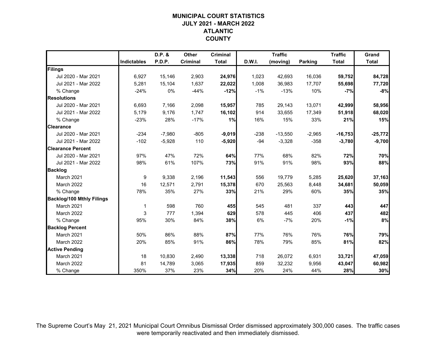# **MUNICIPAL COURT STATISTICSJULY 2021 - MARCH 2022 ATLANTIC COUNTY**

|                                  |                    | D.P. &   | Other    | <b>Criminal</b> |        | <b>Traffic</b> |                | <b>Traffic</b> | Grand        |
|----------------------------------|--------------------|----------|----------|-----------------|--------|----------------|----------------|----------------|--------------|
|                                  | <b>Indictables</b> | P.D.P.   | Criminal | <b>Total</b>    | D.W.I. | (moving)       | <b>Parking</b> | <b>Total</b>   | <b>Total</b> |
| Filings                          |                    |          |          |                 |        |                |                |                |              |
| Jul 2020 - Mar 2021              | 6,927              | 15,146   | 2,903    | 24,976          | 1,023  | 42,693         | 16,036         | 59,752         | 84,728       |
| Jul 2021 - Mar 2022              | 5,281              | 15,104   | 1,637    | 22,022          | 1,008  | 36,983         | 17,707         | 55,698         | 77,720       |
| % Change                         | $-24%$             | 0%       | $-44%$   | $-12%$          | $-1%$  | $-13%$         | 10%            | $-7%$          | $-8%$        |
| <b>Resolutions</b>               |                    |          |          |                 |        |                |                |                |              |
| Jul 2020 - Mar 2021              | 6,693              | 7,166    | 2,098    | 15,957          | 785    | 29,143         | 13,071         | 42,999         | 58,956       |
| Jul 2021 - Mar 2022              | 5,179              | 9,176    | 1,747    | 16,102          | 914    | 33,655         | 17,349         | 51,918         | 68,020       |
| % Change                         | $-23%$             | 28%      | $-17%$   | 1%              | 16%    | 15%            | 33%            | 21%            | 15%          |
| <b>Clearance</b>                 |                    |          |          |                 |        |                |                |                |              |
| Jul 2020 - Mar 2021              | $-234$             | $-7,980$ | $-805$   | $-9,019$        | $-238$ | $-13,550$      | $-2,965$       | $-16,753$      | $-25,772$    |
| Jul 2021 - Mar 2022              | $-102$             | $-5,928$ | 110      | $-5,920$        | $-94$  | $-3,328$       | $-358$         | $-3,780$       | $-9,700$     |
| <b>Clearance Percent</b>         |                    |          |          |                 |        |                |                |                |              |
| Jul 2020 - Mar 2021              | 97%                | 47%      | 72%      | 64%             | 77%    | 68%            | 82%            | 72%            | 70%          |
| Jul 2021 - Mar 2022              | 98%                | 61%      | 107%     | 73%             | 91%    | 91%            | 98%            | 93%            | 88%          |
| <b>Backlog</b>                   |                    |          |          |                 |        |                |                |                |              |
| March 2021                       | 9                  | 9,338    | 2,196    | 11,543          | 556    | 19,779         | 5,285          | 25,620         | 37,163       |
| March 2022                       | 16                 | 12,571   | 2,791    | 15,378          | 670    | 25,563         | 8,448          | 34,681         | 50,059       |
| % Change                         | 78%                | 35%      | 27%      | 33%             | 21%    | 29%            | 60%            | 35%            | 35%          |
| <b>Backlog/100 Mthly Filings</b> |                    |          |          |                 |        |                |                |                |              |
| March 2021                       | 1                  | 598      | 760      | 455             | 545    | 481            | 337            | 443            | 447          |
| March 2022                       | 3                  | 777      | 1,394    | 629             | 578    | 445            | 406            | 437            | 482          |
| % Change                         | 95%                | 30%      | 84%      | 38%             | 6%     | $-7%$          | 20%            | $-1%$          | 8%           |
| <b>Backlog Percent</b>           |                    |          |          |                 |        |                |                |                |              |
| March 2021                       | 50%                | 86%      | 88%      | 87%             | 77%    | 76%            | 76%            | 76%            | 79%          |
| March 2022                       | 20%                | 85%      | 91%      | 86%             | 78%    | 79%            | 85%            | 81%            | 82%          |
| <b>Active Pending</b>            |                    |          |          |                 |        |                |                |                |              |
| March 2021                       | 18                 | 10,830   | 2,490    | 13,338          | 718    | 26,072         | 6,931          | 33,721         | 47,059       |
| March 2022                       | 81                 | 14,789   | 3,065    | 17,935          | 859    | 32,232         | 9,956          | 43,047         | 60,982       |
| % Change                         | 350%               | 37%      | 23%      | 34%             | 20%    | 24%            | 44%            | 28%            | 30%          |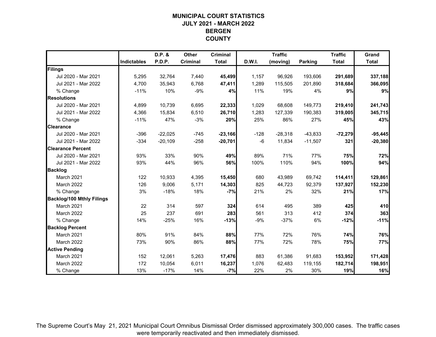# **MUNICIPAL COURT STATISTICSJULY 2021 - MARCH 2022 BERGEN COUNTY**

|                                  |                    | D.P. &    | Other    | <b>Criminal</b> |        | <b>Traffic</b> |                | <b>Traffic</b> | Grand        |
|----------------------------------|--------------------|-----------|----------|-----------------|--------|----------------|----------------|----------------|--------------|
|                                  | <b>Indictables</b> | P.D.P.    | Criminal | <b>Total</b>    | D.W.I. | (moving)       | <b>Parking</b> | <b>Total</b>   | <b>Total</b> |
| Filings                          |                    |           |          |                 |        |                |                |                |              |
| Jul 2020 - Mar 2021              | 5,295              | 32,764    | 7,440    | 45,499          | 1,157  | 96,926         | 193,606        | 291,689        | 337,188      |
| Jul 2021 - Mar 2022              | 4,700              | 35,943    | 6,768    | 47,411          | 1,289  | 115,505        | 201,890        | 318,684        | 366,095      |
| % Change                         | $-11%$             | 10%       | $-9%$    | 4%              | 11%    | 19%            | 4%             | 9%             | 9%           |
| <b>Resolutions</b>               |                    |           |          |                 |        |                |                |                |              |
| Jul 2020 - Mar 2021              | 4,899              | 10,739    | 6,695    | 22,333          | 1,029  | 68,608         | 149,773        | 219,410        | 241,743      |
| Jul 2021 - Mar 2022              | 4,366              | 15,834    | 6,510    | 26,710          | 1,283  | 127,339        | 190,383        | 319,005        | 345,715      |
| % Change                         | $-11%$             | 47%       | $-3%$    | 20%             | 25%    | 86%            | 27%            | 45%            | 43%          |
| <b>Clearance</b>                 |                    |           |          |                 |        |                |                |                |              |
| Jul 2020 - Mar 2021              | $-396$             | $-22,025$ | $-745$   | $-23,166$       | $-128$ | $-28,318$      | $-43,833$      | $-72,279$      | $-95,445$    |
| Jul 2021 - Mar 2022              | $-334$             | $-20,109$ | $-258$   | $-20,701$       | $-6$   | 11,834         | $-11,507$      | 321            | $-20,380$    |
| <b>Clearance Percent</b>         |                    |           |          |                 |        |                |                |                |              |
| Jul 2020 - Mar 2021              | 93%                | 33%       | 90%      | 49%             | 89%    | 71%            | 77%            | 75%            | 72%          |
| Jul 2021 - Mar 2022              | 93%                | 44%       | 96%      | 56%             | 100%   | 110%           | 94%            | 100%           | 94%          |
| <b>Backlog</b>                   |                    |           |          |                 |        |                |                |                |              |
| March 2021                       | 122                | 10,933    | 4,395    | 15,450          | 680    | 43,989         | 69,742         | 114,411        | 129,861      |
| March 2022                       | 126                | 9,006     | 5,171    | 14,303          | 825    | 44,723         | 92,379         | 137,927        | 152,230      |
| % Change                         | 3%                 | $-18%$    | 18%      | $-7%$           | 21%    | 2%             | 32%            | 21%            | 17%          |
| <b>Backlog/100 Mthly Filings</b> |                    |           |          |                 |        |                |                |                |              |
| March 2021                       | 22                 | 314       | 597      | 324             | 614    | 495            | 389            | 425            | 410          |
| March 2022                       | 25                 | 237       | 691      | 283             | 561    | 313            | 412            | 374            | 363          |
| % Change                         | 14%                | $-25%$    | 16%      | $-13%$          | $-9%$  | $-37%$         | 6%             | $-12%$         | $-11%$       |
| <b>Backlog Percent</b>           |                    |           |          |                 |        |                |                |                |              |
| March 2021                       | 80%                | 91%       | 84%      | 88%             | 77%    | 72%            | 76%            | 74%            | 76%          |
| March 2022                       | 73%                | 90%       | 86%      | 88%             | 77%    | 72%            | 78%            | 75%            | 77%          |
| <b>Active Pending</b>            |                    |           |          |                 |        |                |                |                |              |
| March 2021                       | 152                | 12,061    | 5,263    | 17,476          | 883    | 61,386         | 91,683         | 153,952        | 171,428      |
| March 2022                       | 172                | 10,054    | 6,011    | 16,237          | 1,076  | 62,483         | 119,155        | 182,714        | 198,951      |
| % Change                         | 13%                | $-17%$    | 14%      | $-7%$           | 22%    | 2%             | 30%            | 19%            | 16%          |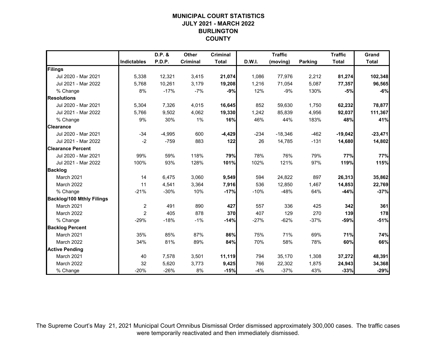# **MUNICIPAL COURT STATISTICSJULY 2021 - MARCH 2022 BURLINGTON COUNTY**

|                                  |                    | D.P. &        | Other    | <b>Criminal</b> |               | <b>Traffic</b> |                | <b>Traffic</b> | Grand        |
|----------------------------------|--------------------|---------------|----------|-----------------|---------------|----------------|----------------|----------------|--------------|
|                                  | <b>Indictables</b> | <b>P.D.P.</b> | Criminal | <b>Total</b>    | <b>D.W.I.</b> | (moving)       | <b>Parking</b> | <b>Total</b>   | <b>Total</b> |
| Filings                          |                    |               |          |                 |               |                |                |                |              |
| Jul 2020 - Mar 2021              | 5,338              | 12,321        | 3,415    | 21,074          | 1,086         | 77,976         | 2,212          | 81,274         | 102,348      |
| Jul 2021 - Mar 2022              | 5,768              | 10,261        | 3,179    | 19,208          | 1,216         | 71,054         | 5,087          | 77,357         | 96,565       |
| % Change                         | 8%                 | $-17%$        | $-7%$    | $-9%$           | 12%           | -9%            | 130%           | $-5%$          | $-6%$        |
| <b>Resolutions</b>               |                    |               |          |                 |               |                |                |                |              |
| Jul 2020 - Mar 2021              | 5,304              | 7,326         | 4,015    | 16,645          | 852           | 59,630         | 1,750          | 62,232         | 78,877       |
| Jul 2021 - Mar 2022              | 5,766              | 9,502         | 4,062    | 19,330          | 1,242         | 85,839         | 4,956          | 92,037         | 111,367      |
| % Change                         | 9%                 | 30%           | 1%       | 16%             | 46%           | 44%            | 183%           | 48%            | 41%          |
| <b>Clearance</b>                 |                    |               |          |                 |               |                |                |                |              |
| Jul 2020 - Mar 2021              | $-34$              | $-4,995$      | 600      | $-4,429$        | $-234$        | $-18,346$      | $-462$         | $-19,042$      | $-23,471$    |
| Jul 2021 - Mar 2022              | $-2$               | $-759$        | 883      | 122             | 26            | 14,785         | $-131$         | 14,680         | 14,802       |
| <b>Clearance Percent</b>         |                    |               |          |                 |               |                |                |                |              |
| Jul 2020 - Mar 2021              | 99%                | 59%           | 118%     | 79%             | 78%           | 76%            | 79%            | 77%            | 77%          |
| Jul 2021 - Mar 2022              | 100%               | 93%           | 128%     | 101%            | 102%          | 121%           | 97%            | 119%           | 115%         |
| <b>Backlog</b>                   |                    |               |          |                 |               |                |                |                |              |
| March 2021                       | 14                 | 6,475         | 3,060    | 9,549           | 594           | 24,822         | 897            | 26,313         | 35,862       |
| March 2022                       | 11                 | 4,541         | 3,364    | 7,916           | 536           | 12,850         | 1,467          | 14,853         | 22,769       |
| % Change                         | $-21%$             | $-30%$        | 10%      | $-17%$          | $-10%$        | $-48%$         | 64%            | $-44%$         | $-37%$       |
| <b>Backlog/100 Mthly Filings</b> |                    |               |          |                 |               |                |                |                |              |
| March 2021                       | $\overline{c}$     | 491           | 890      | 427             | 557           | 336            | 425            | 342            | 361          |
| March 2022                       | $\overline{2}$     | 405           | 878      | 370             | 407           | 129            | 270            | 139            | 178          |
| % Change                         | $-29%$             | $-18%$        | $-1%$    | $-14%$          | $-27%$        | $-62%$         | $-37%$         | $-59%$         | $-51%$       |
| <b>Backlog Percent</b>           |                    |               |          |                 |               |                |                |                |              |
| March 2021                       | 35%                | 85%           | 87%      | 86%             | 75%           | 71%            | 69%            | 71%            | 74%          |
| March 2022                       | 34%                | 81%           | 89%      | 84%             | 70%           | 58%            | 78%            | 60%            | 66%          |
| <b>Active Pending</b>            |                    |               |          |                 |               |                |                |                |              |
| March 2021                       | 40                 | 7,578         | 3,501    | 11,119          | 794           | 35,170         | 1,308          | 37,272         | 48,391       |
| March 2022                       | 32                 | 5,620         | 3,773    | 9,425           | 766           | 22,302         | 1,875          | 24,943         | 34,368       |
| % Change                         | $-20%$             | $-26%$        | 8%       | $-15%$          | $-4%$         | $-37%$         | 43%            | $-33%$         | $-29%$       |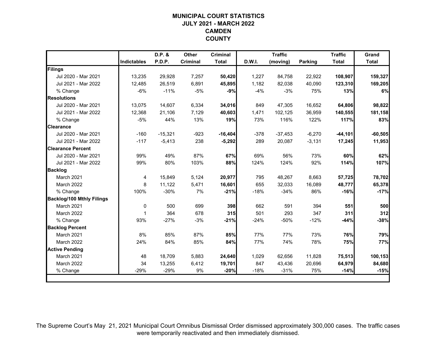# **MUNICIPAL COURT STATISTICSJULY 2021 - MARCH 2022 CAMDEN COUNTY**

|                                  |                    | D.P. &    | Other           | <b>Criminal</b> |               | <b>Traffic</b> |          | <b>Traffic</b> | Grand        |
|----------------------------------|--------------------|-----------|-----------------|-----------------|---------------|----------------|----------|----------------|--------------|
|                                  | <b>Indictables</b> | P.D.P.    | <b>Criminal</b> | <b>Total</b>    | <b>D.W.I.</b> | (moving)       | Parking  | <b>Total</b>   | <b>Total</b> |
| Filings                          |                    |           |                 |                 |               |                |          |                |              |
| Jul 2020 - Mar 2021              | 13,235             | 29,928    | 7,257           | 50,420          | 1,227         | 84,758         | 22,922   | 108,907        | 159,327      |
| Jul 2021 - Mar 2022              | 12,485             | 26,519    | 6,891           | 45,895          | 1,182         | 82,038         | 40,090   | 123,310        | 169,205      |
| % Change                         | $-6%$              | $-11%$    | $-5%$           | $-9%$           | $-4%$         | $-3%$          | 75%      | 13%            | 6%           |
| <b>Resolutions</b>               |                    |           |                 |                 |               |                |          |                |              |
| Jul 2020 - Mar 2021              | 13,075             | 14,607    | 6,334           | 34,016          | 849           | 47,305         | 16,652   | 64,806         | 98,822       |
| Jul 2021 - Mar 2022              | 12,368             | 21,106    | 7,129           | 40,603          | 1,471         | 102,125        | 36,959   | 140,555        | 181,158      |
| % Change                         | $-5%$              | 44%       | 13%             | 19%             | 73%           | 116%           | 122%     | 117%           | 83%          |
| <b>Clearance</b>                 |                    |           |                 |                 |               |                |          |                |              |
| Jul 2020 - Mar 2021              | $-160$             | $-15,321$ | $-923$          | $-16,404$       | $-378$        | $-37,453$      | $-6,270$ | $-44,101$      | $-60,505$    |
| Jul 2021 - Mar 2022              | $-117$             | $-5,413$  | 238             | $-5,292$        | 289           | 20,087         | $-3,131$ | 17,245         | 11,953       |
| <b>Clearance Percent</b>         |                    |           |                 |                 |               |                |          |                |              |
| Jul 2020 - Mar 2021              | 99%                | 49%       | 87%             | 67%             | 69%           | 56%            | 73%      | 60%            | 62%          |
| Jul 2021 - Mar 2022              | 99%                | 80%       | 103%            | 88%             | 124%          | 124%           | 92%      | 114%           | 107%         |
| <b>Backlog</b>                   |                    |           |                 |                 |               |                |          |                |              |
| March 2021                       | 4                  | 15,849    | 5,124           | 20,977          | 795           | 48,267         | 8,663    | 57,725         | 78,702       |
| March 2022                       | 8                  | 11,122    | 5,471           | 16,601          | 655           | 32,033         | 16,089   | 48,777         | 65,378       |
| % Change                         | 100%               | $-30%$    | 7%              | $-21%$          | $-18%$        | $-34%$         | 86%      | $-16%$         | $-17%$       |
| <b>Backlog/100 Mthly Filings</b> |                    |           |                 |                 |               |                |          |                |              |
| March 2021                       | 0                  | 500       | 699             | 398             | 662           | 591            | 394      | 551            | 500          |
| March 2022                       | 1                  | 364       | 678             | 315             | 501           | 293            | 347      | 311            | 312          |
| % Change                         | 93%                | $-27%$    | $-3%$           | $-21%$          | $-24%$        | $-50%$         | $-12%$   | $-44%$         | $-38%$       |
| <b>Backlog Percent</b>           |                    |           |                 |                 |               |                |          |                |              |
| March 2021                       | 8%                 | 85%       | 87%             | 85%             | 77%           | 77%            | 73%      | 76%            | 79%          |
| March 2022                       | 24%                | 84%       | 85%             | 84%             | 77%           | 74%            | 78%      | 75%            | 77%          |
| <b>Active Pending</b>            |                    |           |                 |                 |               |                |          |                |              |
| March 2021                       | 48                 | 18,709    | 5,883           | 24,640          | 1,029         | 62,656         | 11,828   | 75,513         | 100,153      |
| March 2022                       | 34                 | 13,255    | 6,412           | 19,701          | 847           | 43,436         | 20,696   | 64,979         | 84,680       |
| % Change                         | $-29%$             | $-29%$    | 9%              | $-20%$          | $-18%$        | $-31%$         | 75%      | $-14%$         | $-15%$       |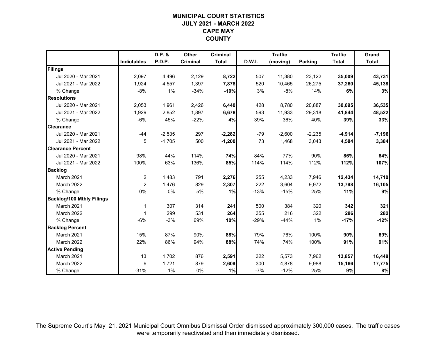# **MUNICIPAL COURT STATISTICSJULY 2021 - MARCH 2022 CAPE MAY COUNTY**

|                                  |                    | D.P. &   | Other    | <b>Criminal</b> |               | <b>Traffic</b> |                | <b>Traffic</b> | Grand        |
|----------------------------------|--------------------|----------|----------|-----------------|---------------|----------------|----------------|----------------|--------------|
|                                  | <b>Indictables</b> | P.D.P.   | Criminal | <b>Total</b>    | <b>D.W.I.</b> | (moving)       | <b>Parking</b> | <b>Total</b>   | <b>Total</b> |
| Filings                          |                    |          |          |                 |               |                |                |                |              |
| Jul 2020 - Mar 2021              | 2,097              | 4,496    | 2,129    | 8,722           | 507           | 11,380         | 23,122         | 35,009         | 43,731       |
| Jul 2021 - Mar 2022              | 1,924              | 4,557    | 1,397    | 7,878           | 520           | 10,465         | 26,275         | 37,260         | 45,138       |
| % Change                         | $-8%$              | 1%       | $-34%$   | $-10%$          | 3%            | $-8%$          | 14%            | 6%             | 3%           |
| <b>Resolutions</b>               |                    |          |          |                 |               |                |                |                |              |
| Jul 2020 - Mar 2021              | 2,053              | 1,961    | 2,426    | 6,440           | 428           | 8,780          | 20,887         | 30,095         | 36,535       |
| Jul 2021 - Mar 2022              | 1,929              | 2,852    | 1,897    | 6,678           | 593           | 11,933         | 29,318         | 41,844         | 48,522       |
| % Change                         | $-6%$              | 45%      | $-22%$   | 4%              | 39%           | 36%            | 40%            | 39%            | 33%          |
| <b>Clearance</b>                 |                    |          |          |                 |               |                |                |                |              |
| Jul 2020 - Mar 2021              | $-44$              | $-2,535$ | 297      | $-2,282$        | $-79$         | $-2,600$       | $-2,235$       | $-4,914$       | $-7,196$     |
| Jul 2021 - Mar 2022              | 5                  | $-1,705$ | 500      | $-1,200$        | 73            | 1,468          | 3,043          | 4,584          | 3,384        |
| <b>Clearance Percent</b>         |                    |          |          |                 |               |                |                |                |              |
| Jul 2020 - Mar 2021              | 98%                | 44%      | 114%     | 74%             | 84%           | 77%            | 90%            | 86%            | 84%          |
| Jul 2021 - Mar 2022              | 100%               | 63%      | 136%     | 85%             | 114%          | 114%           | 112%           | 112%           | 107%         |
| <b>Backlog</b>                   |                    |          |          |                 |               |                |                |                |              |
| March 2021                       | $\overline{c}$     | 1,483    | 791      | 2,276           | 255           | 4,233          | 7,946          | 12,434         | 14,710       |
| March 2022                       | $\overline{c}$     | 1,476    | 829      | 2,307           | 222           | 3,604          | 9,972          | 13,798         | 16,105       |
| % Change                         | 0%                 | 0%       | 5%       | 1%              | $-13%$        | $-15%$         | 25%            | 11%            | 9%           |
| <b>Backlog/100 Mthly Filings</b> |                    |          |          |                 |               |                |                |                |              |
| March 2021                       | 1                  | 307      | 314      | 241             | 500           | 384            | 320            | 342            | 321          |
| March 2022                       | $\overline{1}$     | 299      | 531      | 264             | 355           | 216            | 322            | 286            | 282          |
| % Change                         | $-6%$              | $-3%$    | 69%      | 10%             | $-29%$        | $-44%$         | 1%             | $-17%$         | $-12%$       |
| <b>Backlog Percent</b>           |                    |          |          |                 |               |                |                |                |              |
| March 2021                       | 15%                | 87%      | 90%      | 88%             | 79%           | 76%            | 100%           | 90%            | 89%          |
| March 2022                       | 22%                | 86%      | 94%      | 88%             | 74%           | 74%            | 100%           | 91%            | 91%          |
| <b>Active Pending</b>            |                    |          |          |                 |               |                |                |                |              |
| March 2021                       | 13                 | 1,702    | 876      | 2,591           | 322           | 5,573          | 7,962          | 13,857         | 16,448       |
| March 2022                       | 9                  | 1,721    | 879      | 2,609           | 300           | 4,878          | 9,988          | 15,166         | 17,775       |
| % Change                         | $-31%$             | 1%       | 0%       | 1%              | $-7%$         | $-12%$         | 25%            | 9%             | 8%           |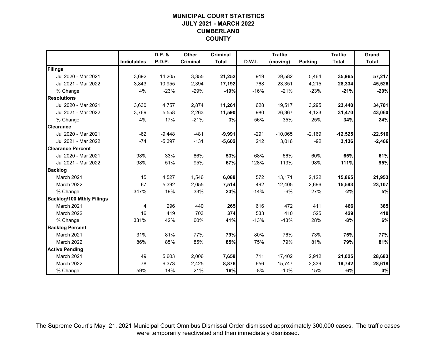# **MUNICIPAL COURT STATISTICSJULY 2021 - MARCH 2022 CUMBERLAND COUNTY**

|                                  |                    | D.P. &        | Other    | <b>Criminal</b> |               | <b>Traffic</b> |                | <b>Traffic</b> | Grand        |
|----------------------------------|--------------------|---------------|----------|-----------------|---------------|----------------|----------------|----------------|--------------|
|                                  | <b>Indictables</b> | <b>P.D.P.</b> | Criminal | <b>Total</b>    | <b>D.W.I.</b> | (moving)       | <b>Parking</b> | <b>Total</b>   | <b>Total</b> |
| Filings                          |                    |               |          |                 |               |                |                |                |              |
| Jul 2020 - Mar 2021              | 3,692              | 14,205        | 3,355    | 21,252          | 919           | 29,582         | 5,464          | 35,965         | 57,217       |
| Jul 2021 - Mar 2022              | 3,843              | 10,955        | 2,394    | 17,192          | 768           | 23,351         | 4,215          | 28,334         | 45,526       |
| % Change                         | 4%                 | $-23%$        | $-29%$   | $-19%$          | $-16%$        | $-21%$         | $-23%$         | $-21%$         | $-20%$       |
| <b>Resolutions</b>               |                    |               |          |                 |               |                |                |                |              |
| Jul 2020 - Mar 2021              | 3,630              | 4,757         | 2,874    | 11,261          | 628           | 19,517         | 3,295          | 23,440         | 34,701       |
| Jul 2021 - Mar 2022              | 3,769              | 5,558         | 2,263    | 11,590          | 980           | 26,367         | 4,123          | 31,470         | 43,060       |
| % Change                         | 4%                 | 17%           | $-21%$   | 3%              | 56%           | 35%            | 25%            | 34%            | 24%          |
| <b>Clearance</b>                 |                    |               |          |                 |               |                |                |                |              |
| Jul 2020 - Mar 2021              | $-62$              | $-9,448$      | $-481$   | $-9,991$        | $-291$        | $-10,065$      | $-2,169$       | $-12,525$      | $-22,516$    |
| Jul 2021 - Mar 2022              | $-74$              | $-5,397$      | $-131$   | $-5,602$        | 212           | 3,016          | $-92$          | 3,136          | $-2,466$     |
| <b>Clearance Percent</b>         |                    |               |          |                 |               |                |                |                |              |
| Jul 2020 - Mar 2021              | 98%                | 33%           | 86%      | 53%             | 68%           | 66%            | 60%            | 65%            | 61%          |
| Jul 2021 - Mar 2022              | 98%                | 51%           | 95%      | 67%             | 128%          | 113%           | 98%            | 111%           | 95%          |
| <b>Backlog</b>                   |                    |               |          |                 |               |                |                |                |              |
| March 2021                       | 15                 | 4,527         | 1,546    | 6,088           | 572           | 13,171         | 2,122          | 15,865         | 21,953       |
| March 2022                       | 67                 | 5,392         | 2,055    | 7,514           | 492           | 12,405         | 2,696          | 15,593         | 23,107       |
| % Change                         | 347%               | 19%           | 33%      | 23%             | $-14%$        | $-6%$          | 27%            | $-2%$          | 5%           |
| <b>Backlog/100 Mthly Filings</b> |                    |               |          |                 |               |                |                |                |              |
| March 2021                       | 4                  | 296           | 440      | 265             | 616           | 472            | 411            | 466            | 385          |
| March 2022                       | 16                 | 419           | 703      | 374             | 533           | 410            | 525            | 429            | 410          |
| % Change                         | 331%               | 42%           | 60%      | 41%             | $-13%$        | $-13%$         | 28%            | $-8%$          | 6%           |
| <b>Backlog Percent</b>           |                    |               |          |                 |               |                |                |                |              |
| March 2021                       | 31%                | 81%           | 77%      | 79%             | 80%           | 76%            | 73%            | 75%            | 77%          |
| March 2022                       | 86%                | 85%           | 85%      | 85%             | 75%           | 79%            | 81%            | 79%            | 81%          |
| <b>Active Pending</b>            |                    |               |          |                 |               |                |                |                |              |
| March 2021                       | 49                 | 5,603         | 2,006    | 7,658           | 711           | 17,402         | 2,912          | 21,025         | 28,683       |
| March 2022                       | 78                 | 6,373         | 2,425    | 8,876           | 656           | 15,747         | 3,339          | 19,742         | 28,618       |
| % Change                         | 59%                | 14%           | 21%      | 16%             | $-8%$         | $-10%$         | 15%            | $-6%$          | $0\%$        |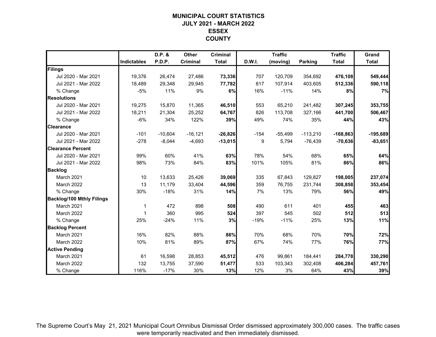# **MUNICIPAL COURT STATISTICSJULY 2021 - MARCH 2022 ESSEX COUNTY**

|                                  |                    | D.P. &        | Other      | <b>Criminal</b> |        | <b>Traffic</b> |                | <b>Traffic</b> | Grand        |
|----------------------------------|--------------------|---------------|------------|-----------------|--------|----------------|----------------|----------------|--------------|
|                                  | <b>Indictables</b> | <b>P.D.P.</b> | Criminal   | <b>Total</b>    | D.W.I. | (moving)       | <b>Parking</b> | <b>Total</b>   | <b>Total</b> |
| Filings                          |                    |               |            |                 |        |                |                |                |              |
| Jul 2020 - Mar 2021              | 19,376             | 26,474        | 27,486     | 73,336          | 707    | 120.709        | 354,692        | 476,108        | 549,444      |
| Jul 2021 - Mar 2022              | 18,489             | 29,348        | 29,945     | 77,782          | 817    | 107.914        | 403,605        | 512,336        | 590,118      |
| % Change                         | $-5%$              | 11%           | 9%         | 6%              | 16%    | $-11%$         | 14%            | 8%             | 7%           |
| <b>Resolutions</b>               |                    |               |            |                 |        |                |                |                |              |
| Jul 2020 - Mar 2021              | 19,275             | 15,870        | 11,365     | 46,510          | 553    | 65,210         | 241,482        | 307,245        | 353,755      |
| Jul 2021 - Mar 2022              | 18,211             | 21,304        | 25,252     | 64,767          | 826    | 113,708        | 327,166        | 441,700        | 506,467      |
| % Change                         | $-6%$              | 34%           | 122%       | 39%             | 49%    | 74%            | 35%            | 44%            | 43%          |
| <b>Clearance</b>                 |                    |               |            |                 |        |                |                |                |              |
| Jul 2020 - Mar 2021              | $-101$             | $-10,604$     | $-16, 121$ | $-26,826$       | $-154$ | $-55,499$      | $-113,210$     | $-168,863$     | $-195,689$   |
| Jul 2021 - Mar 2022              | $-278$             | $-8,044$      | $-4,693$   | $-13,015$       | 9      | 5.794          | $-76,439$      | $-70,636$      | $-83,651$    |
| <b>Clearance Percent</b>         |                    |               |            |                 |        |                |                |                |              |
| Jul 2020 - Mar 2021              | 99%                | 60%           | 41%        | 63%             | 78%    | 54%            | 68%            | 65%            | 64%          |
| Jul 2021 - Mar 2022              | 98%                | 73%           | 84%        | 83%             | 101%   | 105%           | 81%            | 86%            | 86%          |
| <b>Backlog</b>                   |                    |               |            |                 |        |                |                |                |              |
| March 2021                       | 10                 | 13,633        | 25,426     | 39,069          | 335    | 67,843         | 129,827        | 198,005        | 237,074      |
| March 2022                       | 13                 | 11,179        | 33,404     | 44,596          | 359    | 76,755         | 231,744        | 308,858        | 353,454      |
| % Change                         | 30%                | $-18%$        | 31%        | 14%             | 7%     | 13%            | 79%            | 56%            | 49%          |
| <b>Backlog/100 Mthly Filings</b> |                    |               |            |                 |        |                |                |                |              |
| March 2021                       | 1                  | 472           | 898        | 508             | 490    | 611            | 401            | 455            | 463          |
| March 2022                       | $\overline{1}$     | 360           | 995        | 524             | 397    | 545            | 502            | 512            | 513          |
| % Change                         | 25%                | $-24%$        | 11%        | 3%              | $-19%$ | $-11%$         | 25%            | 13%            | 11%          |
| <b>Backlog Percent</b>           |                    |               |            |                 |        |                |                |                |              |
| March 2021                       | 16%                | 82%           | 88%        | 86%             | 70%    | 68%            | 70%            | 70%            | 72%          |
| March 2022                       | 10%                | 81%           | 89%        | 87%             | 67%    | 74%            | 77%            | 76%            | 77%          |
| <b>Active Pending</b>            |                    |               |            |                 |        |                |                |                |              |
| March 2021                       | 61                 | 16,598        | 28,853     | 45,512          | 476    | 99,861         | 184,441        | 284,778        | 330,290      |
| March 2022                       | 132                | 13,755        | 37,590     | 51,477          | 533    | 103,343        | 302,408        | 406,284        | 457,761      |
| % Change                         | 116%               | $-17%$        | 30%        | 13%             | 12%    | 3%             | 64%            | 43%            | 39%          |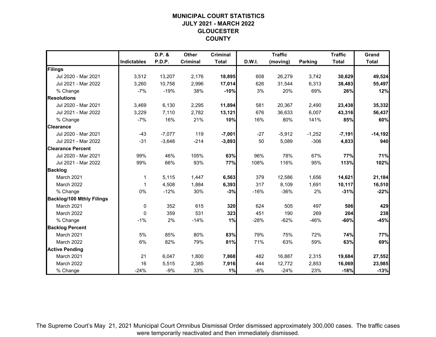# **MUNICIPAL COURT STATISTICSJULY 2021 - MARCH 2022 GLOUCESTER COUNTY**

|                                  |                    | D.P. &   | <b>Other</b> | <b>Criminal</b> |        | <b>Traffic</b> |                | <b>Traffic</b> | Grand        |
|----------------------------------|--------------------|----------|--------------|-----------------|--------|----------------|----------------|----------------|--------------|
|                                  | <b>Indictables</b> | P.D.P.   | Criminal     | <b>Total</b>    | D.W.I. | (moving)       | <b>Parking</b> | <b>Total</b>   | <b>Total</b> |
| Filings                          |                    |          |              |                 |        |                |                |                |              |
| Jul 2020 - Mar 2021              | 3,512              | 13,207   | 2,176        | 18,895          | 608    | 26,279         | 3,742          | 30,629         | 49,524       |
| Jul 2021 - Mar 2022              | 3,260              | 10,758   | 2,996        | 17,014          | 626    | 31,544         | 6,313          | 38,483         | 55,497       |
| % Change                         | $-7%$              | $-19%$   | 38%          | $-10%$          | 3%     | 20%            | 69%            | 26%            | 12%          |
| <b>Resolutions</b>               |                    |          |              |                 |        |                |                |                |              |
| Jul 2020 - Mar 2021              | 3,469              | 6,130    | 2,295        | 11,894          | 581    | 20,367         | 2,490          | 23,438         | 35,332       |
| Jul 2021 - Mar 2022              | 3,229              | 7,110    | 2,782        | 13,121          | 676    | 36,633         | 6,007          | 43,316         | 56,437       |
| % Change                         | $-7%$              | 16%      | 21%          | 10%             | 16%    | 80%            | 141%           | 85%            | 60%          |
| <b>Clearance</b>                 |                    |          |              |                 |        |                |                |                |              |
| Jul 2020 - Mar 2021              | $-43$              | $-7,077$ | 119          | $-7,001$        | $-27$  | $-5,912$       | $-1,252$       | $-7,191$       | $-14,192$    |
| Jul 2021 - Mar 2022              | $-31$              | $-3,648$ | $-214$       | $-3,893$        | 50     | 5,089          | $-306$         | 4,833          | 940          |
| <b>Clearance Percent</b>         |                    |          |              |                 |        |                |                |                |              |
| Jul 2020 - Mar 2021              | 99%                | 46%      | 105%         | 63%             | 96%    | 78%            | 67%            | 77%            | 71%          |
| Jul 2021 - Mar 2022              | 99%                | 66%      | 93%          | 77%             | 108%   | 116%           | 95%            | 113%           | 102%         |
| <b>Backlog</b>                   |                    |          |              |                 |        |                |                |                |              |
| March 2021                       | 1                  | 5,115    | 1,447        | 6,563           | 379    | 12,586         | 1,656          | 14,621         | 21,184       |
| March 2022                       | 1                  | 4,508    | 1,884        | 6,393           | 317    | 8,109          | 1,691          | 10,117         | 16,510       |
| % Change                         | 0%                 | $-12%$   | 30%          | $-3%$           | $-16%$ | $-36%$         | 2%             | $-31%$         | $-22%$       |
| <b>Backlog/100 Mthly Filings</b> |                    |          |              |                 |        |                |                |                |              |
| March 2021                       | 0                  | 352      | 615          | 320             | 624    | 505            | 497            | 506            | 429          |
| March 2022                       | 0                  | 359      | 531          | 323             | 451    | 190            | 269            | 204            | 238          |
| % Change                         | $-1\%$             | 2%       | $-14%$       | 1%              | $-28%$ | $-62%$         | $-46%$         | $-60%$         | $-45%$       |
| <b>Backlog Percent</b>           |                    |          |              |                 |        |                |                |                |              |
| March 2021                       | 5%                 | 85%      | 80%          | 83%             | 79%    | 75%            | 72%            | 74%            | 77%          |
| March 2022                       | 6%                 | 82%      | 79%          | 81%             | 71%    | 63%            | 59%            | 63%            | 69%          |
| <b>Active Pending</b>            |                    |          |              |                 |        |                |                |                |              |
| March 2021                       | 21                 | 6,047    | 1,800        | 7,868           | 482    | 16,887         | 2,315          | 19,684         | 27,552       |
| March 2022                       | 16                 | 5,515    | 2,385        | 7,916           | 444    | 12,772         | 2,853          | 16,069         | 23,985       |
| % Change                         | $-24%$             | $-9%$    | 33%          | 1%              | $-8%$  | $-24%$         | 23%            | $-18%$         | $-13%$       |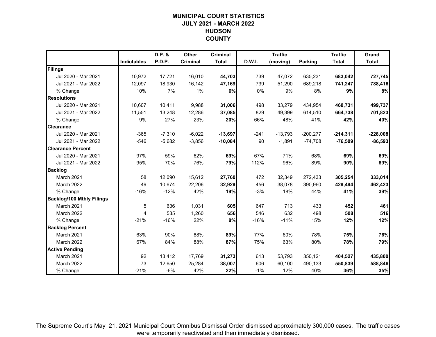# **MUNICIPAL COURT STATISTICSJULY 2021 - MARCH 2022 HUDSON COUNTY**

|                                  |                    | D.P. &   | Other    | <b>Criminal</b> |        | <b>Traffic</b> |                | <b>Traffic</b> | Grand        |
|----------------------------------|--------------------|----------|----------|-----------------|--------|----------------|----------------|----------------|--------------|
|                                  | <b>Indictables</b> | P.D.P.   | Criminal | <b>Total</b>    | D.W.I. | (moving)       | <b>Parking</b> | <b>Total</b>   | <b>Total</b> |
| Filings                          |                    |          |          |                 |        |                |                |                |              |
| Jul 2020 - Mar 2021              | 10,972             | 17,721   | 16,010   | 44,703          | 739    | 47,072         | 635,231        | 683,042        | 727,745      |
| Jul 2021 - Mar 2022              | 12,097             | 18,930   | 16,142   | 47,169          | 739    | 51,290         | 689,218        | 741,247        | 788,416      |
| % Change                         | 10%                | 7%       | 1%       | 6%              | 0%     | 9%             | 8%             | 9%             | 8%           |
| <b>Resolutions</b>               |                    |          |          |                 |        |                |                |                |              |
| Jul 2020 - Mar 2021              | 10,607             | 10,411   | 9,988    | 31,006          | 498    | 33,279         | 434,954        | 468,731        | 499,737      |
| Jul 2021 - Mar 2022              | 11,551             | 13,248   | 12,286   | 37,085          | 829    | 49,399         | 614,510        | 664,738        | 701,823      |
| % Change                         | 9%                 | 27%      | 23%      | 20%             | 66%    | 48%            | 41%            | 42%            | 40%          |
| <b>Clearance</b>                 |                    |          |          |                 |        |                |                |                |              |
| Jul 2020 - Mar 2021              | $-365$             | $-7,310$ | $-6,022$ | $-13,697$       | $-241$ | $-13,793$      | $-200,277$     | $-214,311$     | $-228,008$   |
| Jul 2021 - Mar 2022              | -546               | $-5,682$ | $-3,856$ | $-10,084$       | 90     | $-1,891$       | $-74,708$      | $-76,509$      | $-86,593$    |
| <b>Clearance Percent</b>         |                    |          |          |                 |        |                |                |                |              |
| Jul 2020 - Mar 2021              | 97%                | 59%      | 62%      | 69%             | 67%    | 71%            | 68%            | 69%            | 69%          |
| Jul 2021 - Mar 2022              | 95%                | 70%      | 76%      | 79%             | 112%   | 96%            | 89%            | 90%            | 89%          |
| <b>Backlog</b>                   |                    |          |          |                 |        |                |                |                |              |
| March 2021                       | 58                 | 12,090   | 15,612   | 27,760          | 472    | 32,349         | 272,433        | 305,254        | 333,014      |
| March 2022                       | 49                 | 10,674   | 22,206   | 32,929          | 456    | 38,078         | 390,960        | 429,494        | 462,423      |
| % Change                         | $-16%$             | $-12%$   | 42%      | 19%             | $-3%$  | 18%            | 44%            | 41%            | 39%          |
| <b>Backlog/100 Mthly Filings</b> |                    |          |          |                 |        |                |                |                |              |
| March 2021                       | 5                  | 636      | 1,031    | 605             | 647    | 713            | 433            | 452            | 461          |
| March 2022                       | 4                  | 535      | 1,260    | 656             | 546    | 632            | 498            | 508            | 516          |
| % Change                         | $-21%$             | $-16%$   | 22%      | 8%              | $-16%$ | $-11%$         | 15%            | 12%            | 12%          |
| <b>Backlog Percent</b>           |                    |          |          |                 |        |                |                |                |              |
| March 2021                       | 63%                | 90%      | 88%      | 89%             | 77%    | 60%            | 78%            | 75%            | 76%          |
| March 2022                       | 67%                | 84%      | 88%      | 87%             | 75%    | 63%            | 80%            | 78%            | 79%          |
| <b>Active Pending</b>            |                    |          |          |                 |        |                |                |                |              |
| March 2021                       | 92                 | 13,412   | 17,769   | 31,273          | 613    | 53,793         | 350,121        | 404,527        | 435,800      |
| March 2022                       | 73                 | 12,650   | 25,284   | 38,007          | 606    | 60,100         | 490,133        | 550,839        | 588,846      |
| % Change                         | $-21%$             | $-6%$    | 42%      | 22%             | $-1%$  | 12%            | 40%            | 36%            | 35%          |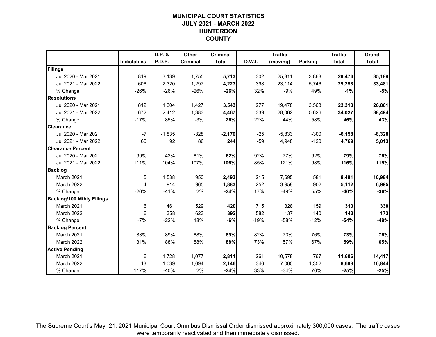# **MUNICIPAL COURT STATISTICSJULY 2021 - MARCH 2022 HUNTERDON COUNTY**

|                                  |                    | D.P. &   | Other    | <b>Criminal</b> |        | <b>Traffic</b> |                | <b>Traffic</b> | Grand        |
|----------------------------------|--------------------|----------|----------|-----------------|--------|----------------|----------------|----------------|--------------|
|                                  | <b>Indictables</b> | P.D.P.   | Criminal | <b>Total</b>    | D.W.I. | (moving)       | <b>Parking</b> | <b>Total</b>   | <b>Total</b> |
| Filings                          |                    |          |          |                 |        |                |                |                |              |
| Jul 2020 - Mar 2021              | 819                | 3,139    | 1,755    | 5,713           | 302    | 25,311         | 3,863          | 29,476         | 35,189       |
| Jul 2021 - Mar 2022              | 606                | 2,320    | 1,297    | 4,223           | 398    | 23,114         | 5,746          | 29,258         | 33,481       |
| % Change                         | $-26%$             | $-26%$   | $-26%$   | $-26%$          | 32%    | $-9%$          | 49%            | $-1%$          | $-5%$        |
| <b>Resolutions</b>               |                    |          |          |                 |        |                |                |                |              |
| Jul 2020 - Mar 2021              | 812                | 1,304    | 1,427    | 3,543           | 277    | 19,478         | 3,563          | 23,318         | 26,861       |
| Jul 2021 - Mar 2022              | 672                | 2,412    | 1,383    | 4,467           | 339    | 28,062         | 5,626          | 34,027         | 38,494       |
| % Change                         | $-17%$             | 85%      | $-3%$    | 26%             | 22%    | 44%            | 58%            | 46%            | 43%          |
| <b>Clearance</b>                 |                    |          |          |                 |        |                |                |                |              |
| Jul 2020 - Mar 2021              | $-7$               | $-1,835$ | $-328$   | $-2,170$        | $-25$  | $-5,833$       | $-300$         | $-6, 158$      | $-8,328$     |
| Jul 2021 - Mar 2022              | 66                 | 92       | 86       | 244             | $-59$  | 4,948          | $-120$         | 4,769          | 5,013        |
| <b>Clearance Percent</b>         |                    |          |          |                 |        |                |                |                |              |
| Jul 2020 - Mar 2021              | 99%                | 42%      | 81%      | 62%             | 92%    | 77%            | 92%            | 79%            | 76%          |
| Jul 2021 - Mar 2022              | 111%               | 104%     | 107%     | 106%            | 85%    | 121%           | 98%            | 116%           | 115%         |
| <b>Backlog</b>                   |                    |          |          |                 |        |                |                |                |              |
| March 2021                       | 5                  | 1,538    | 950      | 2,493           | 215    | 7,695          | 581            | 8,491          | 10,984       |
| March 2022                       | 4                  | 914      | 965      | 1,883           | 252    | 3,958          | 902            | 5,112          | 6,995        |
| % Change                         | $-20%$             | $-41%$   | 2%       | $-24%$          | 17%    | $-49%$         | 55%            | $-40%$         | $-36%$       |
| <b>Backlog/100 Mthly Filings</b> |                    |          |          |                 |        |                |                |                |              |
| March 2021                       | 6                  | 461      | 529      | 420             | 715    | 328            | 159            | 310            | 330          |
| March 2022                       | 6                  | 358      | 623      | 392             | 582    | 137            | 140            | 143            | 173          |
| % Change                         | $-7%$              | $-22%$   | 18%      | $-6%$           | $-19%$ | $-58%$         | $-12%$         | -54%           | $-48%$       |
| <b>Backlog Percent</b>           |                    |          |          |                 |        |                |                |                |              |
| March 2021                       | 83%                | 89%      | 88%      | 89%             | 82%    | 73%            | 76%            | 73%            | 76%          |
| March 2022                       | 31%                | 88%      | 88%      | 88%             | 73%    | 57%            | 67%            | 59%            | 65%          |
| <b>Active Pending</b>            |                    |          |          |                 |        |                |                |                |              |
| March 2021                       | 6                  | 1,728    | 1,077    | 2,811           | 261    | 10,578         | 767            | 11,606         | 14,417       |
| March 2022                       | 13                 | 1,039    | 1,094    | 2,146           | 346    | 7,000          | 1,352          | 8,698          | 10,844       |
| % Change                         | 117%               | $-40%$   | 2%       | $-24%$          | 33%    | $-34%$         | 76%            | $-25%$         | $-25%$       |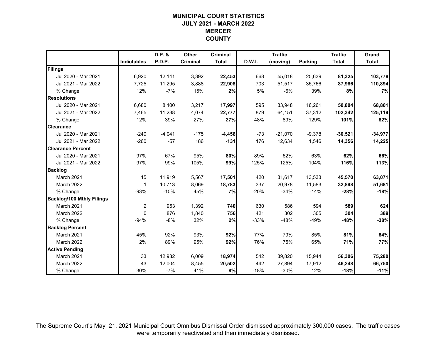# **MUNICIPAL COURT STATISTICSJULY 2021 - MARCH 2022 MERCER COUNTY**

|                                  |                    | D.P. &   | Other    | <b>Criminal</b> |        | <b>Traffic</b> |                | <b>Traffic</b> | Grand        |
|----------------------------------|--------------------|----------|----------|-----------------|--------|----------------|----------------|----------------|--------------|
|                                  | <b>Indictables</b> | P.D.P.   | Criminal | <b>Total</b>    | D.W.I. | (moving)       | <b>Parking</b> | <b>Total</b>   | <b>Total</b> |
| Filings                          |                    |          |          |                 |        |                |                |                |              |
| Jul 2020 - Mar 2021              | 6,920              | 12,141   | 3,392    | 22,453          | 668    | 55,018         | 25,639         | 81,325         | 103,778      |
| Jul 2021 - Mar 2022              | 7,725              | 11,295   | 3,888    | 22,908          | 703    | 51,517         | 35,766         | 87,986         | 110,894      |
| % Change                         | 12%                | $-7%$    | 15%      | 2%              | 5%     | $-6%$          | 39%            | 8%             | 7%           |
| <b>Resolutions</b>               |                    |          |          |                 |        |                |                |                |              |
| Jul 2020 - Mar 2021              | 6,680              | 8,100    | 3,217    | 17,997          | 595    | 33,948         | 16,261         | 50,804         | 68,801       |
| Jul 2021 - Mar 2022              | 7,465              | 11,238   | 4,074    | 22,777          | 879    | 64,151         | 37,312         | 102,342        | 125,119      |
| % Change                         | 12%                | 39%      | 27%      | 27%             | 48%    | 89%            | 129%           | 101%           | 82%          |
| <b>Clearance</b>                 |                    |          |          |                 |        |                |                |                |              |
| Jul 2020 - Mar 2021              | $-240$             | $-4,041$ | $-175$   | $-4,456$        | $-73$  | $-21,070$      | $-9,378$       | $-30,521$      | $-34,977$    |
| Jul 2021 - Mar 2022              | $-260$             | $-57$    | 186      | $-131$          | 176    | 12,634         | 1,546          | 14,356         | 14,225       |
| <b>Clearance Percent</b>         |                    |          |          |                 |        |                |                |                |              |
| Jul 2020 - Mar 2021              | 97%                | 67%      | 95%      | 80%             | 89%    | 62%            | 63%            | 62%            | 66%          |
| Jul 2021 - Mar 2022              | 97%                | 99%      | 105%     | 99%             | 125%   | 125%           | 104%           | 116%           | 113%         |
| <b>Backlog</b>                   |                    |          |          |                 |        |                |                |                |              |
| March 2021                       | 15                 | 11,919   | 5,567    | 17,501          | 420    | 31,617         | 13,533         | 45,570         | 63,071       |
| March 2022                       | $\mathbf 1$        | 10,713   | 8,069    | 18,783          | 337    | 20,978         | 11,583         | 32,898         | 51,681       |
| % Change                         | $-93%$             | $-10%$   | 45%      | 7%              | $-20%$ | $-34%$         | $-14%$         | $-28%$         | $-18%$       |
| <b>Backlog/100 Mthly Filings</b> |                    |          |          |                 |        |                |                |                |              |
| March 2021                       | $\overline{c}$     | 953      | 1,392    | 740             | 630    | 586            | 594            | 589            | 624          |
| March 2022                       | $\mathbf{0}$       | 876      | 1,840    | 756             | 421    | 302            | 305            | 304            | 389          |
| % Change                         | $-94%$             | $-8%$    | 32%      | 2%              | $-33%$ | $-48%$         | $-49%$         | -48%           | $-38%$       |
| <b>Backlog Percent</b>           |                    |          |          |                 |        |                |                |                |              |
| March 2021                       | 45%                | 92%      | 93%      | 92%             | 77%    | 79%            | 85%            | 81%            | 84%          |
| March 2022                       | 2%                 | 89%      | 95%      | 92%             | 76%    | 75%            | 65%            | 71%            | 77%          |
| <b>Active Pending</b>            |                    |          |          |                 |        |                |                |                |              |
| March 2021                       | 33                 | 12,932   | 6,009    | 18,974          | 542    | 39,820         | 15,944         | 56,306         | 75,280       |
| March 2022                       | 43                 | 12,004   | 8,455    | 20,502          | 442    | 27,894         | 17,912         | 46,248         | 66,750       |
| % Change                         | 30%                | $-7%$    | 41%      | 8%              | $-18%$ | $-30%$         | 12%            | $-18%$         | $-11%$       |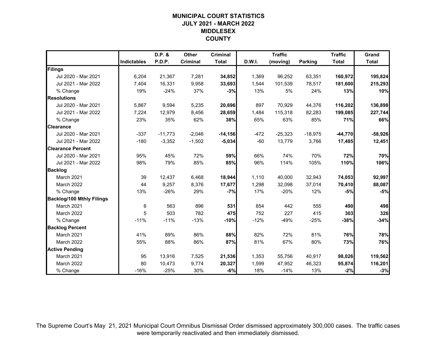# **MUNICIPAL COURT STATISTICSJULY 2021 - MARCH 2022 MIDDLESEX COUNTY**

|                                  |                    | D.P. &    | Other    | <b>Criminal</b> |        | <b>Traffic</b> |                | <b>Traffic</b> | Grand        |
|----------------------------------|--------------------|-----------|----------|-----------------|--------|----------------|----------------|----------------|--------------|
|                                  | <b>Indictables</b> | P.D.P.    | Criminal | <b>Total</b>    | D.W.I. | (moving)       | <b>Parking</b> | <b>Total</b>   | <b>Total</b> |
| Filings                          |                    |           |          |                 |        |                |                |                |              |
| Jul 2020 - Mar 2021              | 6,204              | 21,367    | 7,281    | 34,852          | 1,369  | 96,252         | 63,351         | 160,972        | 195,824      |
| Jul 2021 - Mar 2022              | 7,404              | 16,331    | 9,958    | 33,693          | 1,544  | 101,539        | 78,517         | 181,600        | 215,293      |
| % Change                         | 19%                | $-24%$    | 37%      | $-3%$           | 13%    | 5%             | 24%            | 13%            | 10%          |
| <b>Resolutions</b>               |                    |           |          |                 |        |                |                |                |              |
| Jul 2020 - Mar 2021              | 5,867              | 9,594     | 5,235    | 20,696          | 897    | 70,929         | 44,376         | 116,202        | 136,898      |
| Jul 2021 - Mar 2022              | 7,224              | 12,979    | 8,456    | 28,659          | 1,484  | 115,318        | 82,283         | 199,085        | 227,744      |
| % Change                         | 23%                | 35%       | 62%      | 38%             | 65%    | 63%            | 85%            | 71%            | 66%          |
| <b>Clearance</b>                 |                    |           |          |                 |        |                |                |                |              |
| Jul 2020 - Mar 2021              | $-337$             | $-11,773$ | $-2,046$ | $-14,156$       | $-472$ | $-25,323$      | $-18,975$      | $-44,770$      | $-58,926$    |
| Jul 2021 - Mar 2022              | $-180$             | $-3,352$  | $-1,502$ | $-5,034$        | $-60$  | 13,779         | 3,766          | 17,485         | 12,451       |
| <b>Clearance Percent</b>         |                    |           |          |                 |        |                |                |                |              |
| Jul 2020 - Mar 2021              | 95%                | 45%       | 72%      | 59%             | 66%    | 74%            | 70%            | 72%            | 70%          |
| Jul 2021 - Mar 2022              | 98%                | 79%       | 85%      | 85%             | 96%    | 114%           | 105%           | 110%           | 106%         |
| <b>Backlog</b>                   |                    |           |          |                 |        |                |                |                |              |
| March 2021                       | 39                 | 12,437    | 6,468    | 18,944          | 1,110  | 40,000         | 32,943         | 74,053         | 92,997       |
| March 2022                       | 44                 | 9,257     | 8,376    | 17,677          | 1,298  | 32,098         | 37,014         | 70,410         | 88,087       |
| % Change                         | 13%                | $-26%$    | 29%      | $-7%$           | 17%    | $-20%$         | 12%            | $-5%$          | $-5%$        |
| <b>Backlog/100 Mthly Filings</b> |                    |           |          |                 |        |                |                |                |              |
| March 2021                       | 6                  | 563       | 896      | 531             | 854    | 442            | 555            | 490            | 498          |
| March 2022                       | 5                  | 503       | 782      | 475             | 752    | 227            | 415            | 303            | 326          |
| % Change                         | $-11%$             | $-11%$    | $-13%$   | $-10%$          | $-12%$ | $-49%$         | $-25%$         | $-38%$         | $-34%$       |
| <b>Backlog Percent</b>           |                    |           |          |                 |        |                |                |                |              |
| March 2021                       | 41%                | 89%       | 86%      | 88%             | 82%    | 72%            | 81%            | 76%            | 78%          |
| March 2022                       | 55%                | 88%       | 86%      | 87%             | 81%    | 67%            | 80%            | 73%            | 76%          |
| <b>Active Pending</b>            |                    |           |          |                 |        |                |                |                |              |
| March 2021                       | 95                 | 13,916    | 7,525    | 21,536          | 1,353  | 55,756         | 40,917         | 98,026         | 119,562      |
| March 2022                       | 80                 | 10,473    | 9,774    | 20,327          | 1,599  | 47,952         | 46,323         | 95,874         | 116,201      |
| % Change                         | $-16%$             | $-25%$    | 30%      | $-6%$           | 18%    | $-14%$         | 13%            | $-2%$          | $-3%$        |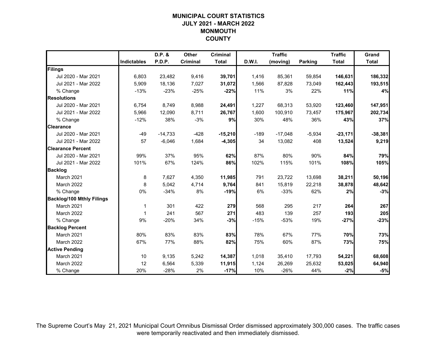# **MUNICIPAL COURT STATISTICSJULY 2021 - MARCH 2022 MONMOUTH COUNTY**

|                                  |                    | D.P. &    | Other    | <b>Criminal</b> |        | <b>Traffic</b> |                | <b>Traffic</b> | Grand        |
|----------------------------------|--------------------|-----------|----------|-----------------|--------|----------------|----------------|----------------|--------------|
|                                  | <b>Indictables</b> | P.D.P.    | Criminal | <b>Total</b>    | D.W.I. | (moving)       | <b>Parking</b> | <b>Total</b>   | <b>Total</b> |
| Filings                          |                    |           |          |                 |        |                |                |                |              |
| Jul 2020 - Mar 2021              | 6,803              | 23,482    | 9,416    | 39,701          | 1,416  | 85,361         | 59,854         | 146,631        | 186,332      |
| Jul 2021 - Mar 2022              | 5,909              | 18,136    | 7,027    | 31,072          | 1,566  | 87,828         | 73,049         | 162,443        | 193,515      |
| % Change                         | $-13%$             | $-23%$    | $-25%$   | $-22%$          | 11%    | 3%             | 22%            | 11%            | 4%           |
| <b>Resolutions</b>               |                    |           |          |                 |        |                |                |                |              |
| Jul 2020 - Mar 2021              | 6,754              | 8,749     | 8,988    | 24,491          | 1,227  | 68,313         | 53,920         | 123,460        | 147,951      |
| Jul 2021 - Mar 2022              | 5,966              | 12,090    | 8,711    | 26,767          | 1,600  | 100,910        | 73,457         | 175,967        | 202,734      |
| % Change                         | $-12%$             | 38%       | $-3%$    | 9%              | 30%    | 48%            | 36%            | 43%            | 37%          |
| <b>Clearance</b>                 |                    |           |          |                 |        |                |                |                |              |
| Jul 2020 - Mar 2021              | $-49$              | $-14,733$ | $-428$   | $-15,210$       | $-189$ | $-17,048$      | $-5,934$       | $-23,171$      | $-38,381$    |
| Jul 2021 - Mar 2022              | 57                 | $-6,046$  | 1,684    | $-4,305$        | 34     | 13,082         | 408            | 13,524         | 9,219        |
| <b>Clearance Percent</b>         |                    |           |          |                 |        |                |                |                |              |
| Jul 2020 - Mar 2021              | 99%                | 37%       | 95%      | 62%             | 87%    | 80%            | 90%            | 84%            | 79%          |
| Jul 2021 - Mar 2022              | 101%               | 67%       | 124%     | 86%             | 102%   | 115%           | 101%           | 108%           | 105%         |
| <b>Backlog</b>                   |                    |           |          |                 |        |                |                |                |              |
| March 2021                       | 8                  | 7,627     | 4,350    | 11,985          | 791    | 23,722         | 13,698         | 38,211         | 50,196       |
| March 2022                       | 8                  | 5,042     | 4,714    | 9,764           | 841    | 15,819         | 22,218         | 38,878         | 48,642       |
| % Change                         | 0%                 | $-34%$    | 8%       | $-19%$          | 6%     | $-33%$         | 62%            | 2%             | $-3%$        |
| <b>Backlog/100 Mthly Filings</b> |                    |           |          |                 |        |                |                |                |              |
| March 2021                       | 1                  | 301       | 422      | 279             | 568    | 295            | 217            | 264            | 267          |
| March 2022                       | $\overline{1}$     | 241       | 567      | 271             | 483    | 139            | 257            | 193            | 205          |
| % Change                         | 9%                 | $-20%$    | 34%      | $-3%$           | $-15%$ | $-53%$         | 19%            | $-27%$         | $-23%$       |
| <b>Backlog Percent</b>           |                    |           |          |                 |        |                |                |                |              |
| March 2021                       | 80%                | 83%       | 83%      | 83%             | 78%    | 67%            | 77%            | 70%            | 73%          |
| March 2022                       | 67%                | 77%       | 88%      | 82%             | 75%    | 60%            | 87%            | 73%            | 75%          |
| <b>Active Pending</b>            |                    |           |          |                 |        |                |                |                |              |
| March 2021                       | 10                 | 9,135     | 5,242    | 14,387          | 1,018  | 35,410         | 17,793         | 54,221         | 68,608       |
| March 2022                       | 12                 | 6,564     | 5,339    | 11,915          | 1,124  | 26,269         | 25,632         | 53,025         | 64,940       |
| % Change                         | 20%                | $-28%$    | 2%       | $-17%$          | 10%    | $-26%$         | 44%            | $-2%$          | $-5%$        |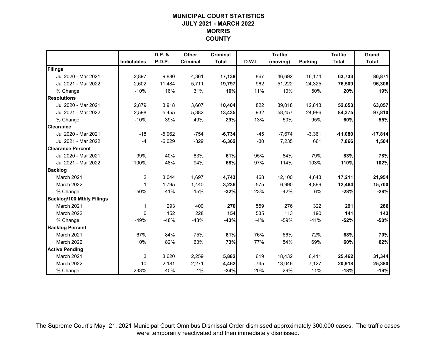# **MUNICIPAL COURT STATISTICSJULY 2021 - MARCH 2022 MORRIS COUNTY**

|                                  |                    | D.P. &   | Other    | <b>Criminal</b> |        | <b>Traffic</b> |                | <b>Traffic</b> | Grand        |
|----------------------------------|--------------------|----------|----------|-----------------|--------|----------------|----------------|----------------|--------------|
|                                  | <b>Indictables</b> | P.D.P.   | Criminal | <b>Total</b>    | D.W.I. | (moving)       | <b>Parking</b> | <b>Total</b>   | <b>Total</b> |
| Filings                          |                    |          |          |                 |        |                |                |                |              |
| Jul 2020 - Mar 2021              | 2,897              | 9,880    | 4,361    | 17,138          | 867    | 46,692         | 16,174         | 63,733         | 80,871       |
| Jul 2021 - Mar 2022              | 2,602              | 11,484   | 5,711    | 19,797          | 962    | 51,222         | 24,325         | 76,509         | 96,306       |
| % Change                         | $-10%$             | 16%      | 31%      | 16%             | 11%    | 10%            | 50%            | 20%            | 19%          |
| <b>Resolutions</b>               |                    |          |          |                 |        |                |                |                |              |
| Jul 2020 - Mar 2021              | 2,879              | 3,918    | 3,607    | 10,404          | 822    | 39,018         | 12,813         | 52,653         | 63,057       |
| Jul 2021 - Mar 2022              | 2,598              | 5,455    | 5,382    | 13,435          | 932    | 58,457         | 24,986         | 84,375         | 97,810       |
| % Change                         | $-10%$             | 39%      | 49%      | 29%             | 13%    | 50%            | 95%            | 60%            | 55%          |
| <b>Clearance</b>                 |                    |          |          |                 |        |                |                |                |              |
| Jul 2020 - Mar 2021              | $-18$              | $-5,962$ | $-754$   | $-6,734$        | $-45$  | $-7,674$       | $-3,361$       | $-11,080$      | $-17,814$    |
| Jul 2021 - Mar 2022              | $-4$               | $-6,029$ | $-329$   | $-6,362$        | $-30$  | 7,235          | 661            | 7,866          | 1,504        |
| <b>Clearance Percent</b>         |                    |          |          |                 |        |                |                |                |              |
| Jul 2020 - Mar 2021              | 99%                | 40%      | 83%      | 61%             | 95%    | 84%            | 79%            | 83%            | 78%          |
| Jul 2021 - Mar 2022              | 100%               | 48%      | 94%      | 68%             | 97%    | 114%           | 103%           | 110%           | 102%         |
| <b>Backlog</b>                   |                    |          |          |                 |        |                |                |                |              |
| March 2021                       | $\overline{c}$     | 3,044    | 1,697    | 4,743           | 468    | 12,100         | 4,643          | 17,211         | 21,954       |
| March 2022                       | $\mathbf{1}$       | 1,795    | 1,440    | 3,236           | 575    | 6,990          | 4,899          | 12,464         | 15,700       |
| % Change                         | $-50%$             | $-41%$   | $-15%$   | $-32%$          | 23%    | $-42%$         | 6%             | $-28%$         | $-28%$       |
| <b>Backlog/100 Mthly Filings</b> |                    |          |          |                 |        |                |                |                |              |
| March 2021                       | 1                  | 293      | 400      | 270             | 559    | 276            | 322            | 291            | 286          |
| March 2022                       | 0                  | 152      | 228      | 154             | 535    | 113            | 190            | 141            | 143          |
| % Change                         | $-49%$             | $-48%$   | $-43%$   | $-43%$          | $-4%$  | $-59%$         | $-41%$         | $-52%$         | $-50%$       |
| <b>Backlog Percent</b>           |                    |          |          |                 |        |                |                |                |              |
| March 2021                       | 67%                | 84%      | 75%      | 81%             | 76%    | 66%            | 72%            | 68%            | 70%          |
| March 2022                       | 10%                | 82%      | 63%      | 73%             | 77%    | 54%            | 69%            | 60%            | 62%          |
| <b>Active Pending</b>            |                    |          |          |                 |        |                |                |                |              |
| March 2021                       | 3                  | 3,620    | 2,259    | 5,882           | 619    | 18,432         | 6,411          | 25,462         | 31,344       |
| March 2022                       | 10                 | 2,181    | 2,271    | 4,462           | 745    | 13,046         | 7,127          | 20,918         | 25,380       |
| % Change                         | 233%               | $-40%$   | 1%       | $-24%$          | 20%    | $-29%$         | 11%            | $-18%$         | $-19%$       |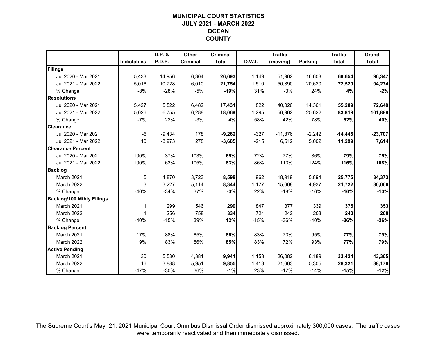# **MUNICIPAL COURT STATISTICSJULY 2021 - MARCH 2022 OCEAN COUNTY**

|                                  |                    | D.P. &   | Other    | <b>Criminal</b> |        | <b>Traffic</b> |                | <b>Traffic</b> | Grand        |
|----------------------------------|--------------------|----------|----------|-----------------|--------|----------------|----------------|----------------|--------------|
|                                  | <b>Indictables</b> | P.D.P.   | Criminal | <b>Total</b>    | D.W.I. | (moving)       | <b>Parking</b> | <b>Total</b>   | <b>Total</b> |
| Filings                          |                    |          |          |                 |        |                |                |                |              |
| Jul 2020 - Mar 2021              | 5,433              | 14,956   | 6,304    | 26,693          | 1,149  | 51,902         | 16,603         | 69,654         | 96,347       |
| Jul 2021 - Mar 2022              | 5,016              | 10,728   | 6,010    | 21,754          | 1,510  | 50,390         | 20,620         | 72,520         | 94,274       |
| % Change                         | $-8%$              | $-28%$   | -5%      | $-19%$          | 31%    | $-3%$          | 24%            | 4%             | $-2%$        |
| <b>Resolutions</b>               |                    |          |          |                 |        |                |                |                |              |
| Jul 2020 - Mar 2021              | 5,427              | 5,522    | 6,482    | 17,431          | 822    | 40,026         | 14,361         | 55,209         | 72,640       |
| Jul 2021 - Mar 2022              | 5,026              | 6,755    | 6,288    | 18,069          | 1,295  | 56,902         | 25,622         | 83,819         | 101,888      |
| % Change                         | $-7%$              | 22%      | $-3%$    | 4%              | 58%    | 42%            | 78%            | 52%            | 40%          |
| <b>Clearance</b>                 |                    |          |          |                 |        |                |                |                |              |
| Jul 2020 - Mar 2021              | $-6$               | $-9,434$ | 178      | $-9,262$        | $-327$ | $-11,876$      | $-2,242$       | $-14,445$      | $-23,707$    |
| Jul 2021 - Mar 2022              | 10                 | $-3,973$ | 278      | $-3,685$        | $-215$ | 6,512          | 5,002          | 11,299         | 7,614        |
| <b>Clearance Percent</b>         |                    |          |          |                 |        |                |                |                |              |
| Jul 2020 - Mar 2021              | 100%               | 37%      | 103%     | 65%             | 72%    | 77%            | 86%            | 79%            | 75%          |
| Jul 2021 - Mar 2022              | 100%               | 63%      | 105%     | 83%             | 86%    | 113%           | 124%           | 116%           | 108%         |
| <b>Backlog</b>                   |                    |          |          |                 |        |                |                |                |              |
| March 2021                       | 5                  | 4,870    | 3,723    | 8,598           | 962    | 18,919         | 5,894          | 25,775         | 34,373       |
| March 2022                       | 3                  | 3,227    | 5,114    | 8,344           | 1,177  | 15,608         | 4,937          | 21,722         | 30,066       |
| % Change                         | $-40%$             | $-34%$   | 37%      | $-3%$           | 22%    | $-18%$         | $-16%$         | $-16%$         | $-13%$       |
| <b>Backlog/100 Mthly Filings</b> |                    |          |          |                 |        |                |                |                |              |
| March 2021                       | 1                  | 299      | 546      | 299             | 847    | 377            | 339            | 375            | 353          |
| March 2022                       | 1                  | 256      | 758      | 334             | 724    | 242            | 203            | 240            | 260          |
| % Change                         | $-40%$             | $-15%$   | 39%      | 12%             | $-15%$ | $-36%$         | $-40%$         | $-36%$         | $-26%$       |
| <b>Backlog Percent</b>           |                    |          |          |                 |        |                |                |                |              |
| March 2021                       | 17%                | 88%      | 85%      | 86%             | 83%    | 73%            | 95%            | 77%            | 79%          |
| March 2022                       | 19%                | 83%      | 86%      | 85%             | 83%    | 72%            | 93%            | 77%            | 79%          |
| <b>Active Pending</b>            |                    |          |          |                 |        |                |                |                |              |
| March 2021                       | 30                 | 5,530    | 4,381    | 9,941           | 1,153  | 26,082         | 6,189          | 33,424         | 43,365       |
| March 2022                       | 16                 | 3,888    | 5,951    | 9,855           | 1,413  | 21,603         | 5,305          | 28,321         | 38,176       |
| % Change                         | $-47%$             | $-30%$   | 36%      | $-1%$           | 23%    | $-17%$         | $-14%$         | $-15%$         | $-12%$       |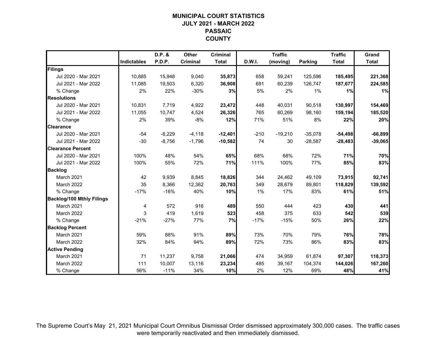# **MUNICIPAL COURT STATISTICSJULY 2021 - MARCH 2022 PASSAIC COUNTY**

|                                  |                    | D.P. &   | Other    | <b>Criminal</b> |        | <b>Traffic</b> |                | <b>Traffic</b> | Grand        |
|----------------------------------|--------------------|----------|----------|-----------------|--------|----------------|----------------|----------------|--------------|
|                                  | <b>Indictables</b> | P.D.P.   | Criminal | <b>Total</b>    | D.W.I. | (moving)       | <b>Parking</b> | <b>Total</b>   | <b>Total</b> |
| Filings                          |                    |          |          |                 |        |                |                |                |              |
| Jul 2020 - Mar 2021              | 10,885             | 15,948   | 9,040    | 35,873          | 658    | 59,241         | 125,596        | 185,495        | 221,368      |
| Jul 2021 - Mar 2022              | 11,085             | 19,503   | 6,320    | 36,908          | 691    | 60,239         | 126,747        | 187,677        | 224,585      |
| % Change                         | 2%                 | 22%      | $-30%$   | 3%              | 5%     | 2%             | 1%             | 1%             | 1%           |
| <b>Resolutions</b>               |                    |          |          |                 |        |                |                |                |              |
| Jul 2020 - Mar 2021              | 10,831             | 7,719    | 4,922    | 23,472          | 448    | 40,031         | 90,518         | 130,997        | 154,469      |
| Jul 2021 - Mar 2022              | 11,055             | 10,747   | 4,524    | 26,326          | 765    | 60,269         | 98,160         | 159,194        | 185,520      |
| % Change                         | 2%                 | 39%      | $-8%$    | 12%             | 71%    | 51%            | 8%             | 22%            | 20%          |
| <b>Clearance</b>                 |                    |          |          |                 |        |                |                |                |              |
| Jul 2020 - Mar 2021              | $-54$              | $-8,229$ | $-4,118$ | $-12,401$       | $-210$ | $-19,210$      | $-35,078$      | $-54,498$      | $-66,899$    |
| Jul 2021 - Mar 2022              | $-30$              | $-8,756$ | $-1,796$ | $-10,582$       | 74     | 30             | $-28,587$      | $-28,483$      | $-39,065$    |
| <b>Clearance Percent</b>         |                    |          |          |                 |        |                |                |                |              |
| Jul 2020 - Mar 2021              | 100%               | 48%      | 54%      | 65%             | 68%    | 68%            | 72%            | 71%            | 70%          |
| Jul 2021 - Mar 2022              | 100%               | 55%      | 72%      | 71%             | 111%   | 100%           | 77%            | 85%            | 83%          |
| <b>Backlog</b>                   |                    |          |          |                 |        |                |                |                |              |
| March 2021                       | 42                 | 9,939    | 8,845    | 18,826          | 344    | 24,462         | 49,109         | 73,915         | 92,741       |
| March 2022                       | 35                 | 8,366    | 12,362   | 20,763          | 349    | 28,679         | 89,801         | 118,829        | 139,592      |
| % Change                         | $-17%$             | $-16%$   | 40%      | 10%             | 1%     | 17%            | 83%            | 61%            | 51%          |
| <b>Backlog/100 Mthly Filings</b> |                    |          |          |                 |        |                |                |                |              |
| March 2021                       | 4                  | 572      | 916      | 489             | 550    | 444            | 423            | 430            | 441          |
| March 2022                       | 3                  | 419      | 1,619    | 523             | 458    | 375            | 633            | 542            | 539          |
| % Change                         | $-21%$             | $-27%$   | 77%      | 7%              | $-17%$ | $-15%$         | 50%            | 26%            | 22%          |
| <b>Backlog Percent</b>           |                    |          |          |                 |        |                |                |                |              |
| March 2021                       | 59%                | 88%      | 91%      | 89%             | 73%    | 70%            | 79%            | 76%            | 78%          |
| March 2022                       | 32%                | 84%      | 94%      | 89%             | 72%    | 73%            | 86%            | 83%            | 83%          |
| <b>Active Pending</b>            |                    |          |          |                 |        |                |                |                |              |
| March 2021                       | 71                 | 11,237   | 9,758    | 21,066          | 474    | 34,959         | 61,874         | 97,307         | 118,373      |
| March 2022                       | 111                | 10,007   | 13,116   | 23,234          | 485    | 39,167         | 104,374        | 144,026        | 167,260      |
| % Change                         | 56%                | $-11%$   | 34%      | 10%             | 2%     | 12%            | 69%            | 48%            | 41%          |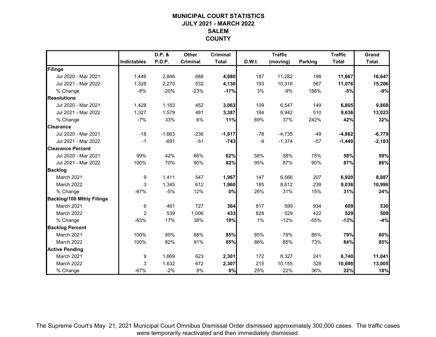# **MUNICIPAL COURT STATISTICSJULY 2021 - MARCH 2022 SALEMCOUNTY**

|                                  |                    | D.P. &   | Other    | <b>Criminal</b> |               | <b>Traffic</b> |                | <b>Traffic</b> | Grand        |
|----------------------------------|--------------------|----------|----------|-----------------|---------------|----------------|----------------|----------------|--------------|
|                                  | <b>Indictables</b> | P.D.P.   | Criminal | <b>Total</b>    | <b>D.W.I.</b> | (moving)       | <b>Parking</b> | <b>Total</b>   | <b>Total</b> |
| Filings                          |                    |          |          |                 |               |                |                |                |              |
| Jul 2020 - Mar 2021              | 1,446              | 2,846    | 688      | 4,980           | 187           | 11,282         | 198            | 11,667         | 16,647       |
| Jul 2021 - Mar 2022              | 1,328              | 2,270    | 532      | 4,130           | 193           | 10,316         | 567            | 11,076         | 15,206       |
| % Change                         | $-8%$              | $-20%$   | $-23%$   | $-17%$          | 3%            | $-9%$          | 186%           | $-5%$          | $-9%$        |
| <b>Resolutions</b>               |                    |          |          |                 |               |                |                |                |              |
| Jul 2020 - Mar 2021              | 1,428              | 1,183    | 452      | 3,063           | 109           | 6,547          | 149            | 6,805          | 9,868        |
| Jul 2021 - Mar 2022              | 1,327              | 1,579    | 481      | 3,387           | 184           | 8,942          | 510            | 9,636          | 13,023       |
| % Change                         | $-7%$              | 33%      | 6%       | 11%             | 69%           | 37%            | 242%           | 42%            | 32%          |
| <b>Clearance</b>                 |                    |          |          |                 |               |                |                |                |              |
| Jul 2020 - Mar 2021              | $-18$              | $-1,663$ | $-236$   | $-1,917$        | $-78$         | $-4,735$       | $-49$          | $-4,862$       | $-6,779$     |
| Jul 2021 - Mar 2022              | $-1$               | $-691$   | $-51$    | $-743$          | $-9$          | $-1,374$       | $-57$          | $-1,440$       | $-2,183$     |
| <b>Clearance Percent</b>         |                    |          |          |                 |               |                |                |                |              |
| Jul 2020 - Mar 2021              | 99%                | 42%      | 66%      | 62%             | 58%           | 58%            | 75%            | 58%            | 59%          |
| Jul 2021 - Mar 2022              | 100%               | 70%      | 90%      | 82%             | 95%           | 87%            | 90%            | 87%            | 86%          |
| <b>Backlog</b>                   |                    |          |          |                 |               |                |                |                |              |
| March 2021                       | 9                  | 1,411    | 547      | 1,967           | 147           | 6,566          | 207            | 6,920          | 8,887        |
| March 2022                       | 3                  | 1,345    | 612      | 1,960           | 185           | 8,612          | 239            | 9,036          | 10,996       |
| % Change                         | $-67%$             | $-5%$    | 12%      | 0%              | 26%           | 31%            | 15%            | 31%            | 24%          |
| <b>Backlog/100 Mthly Filings</b> |                    |          |          |                 |               |                |                |                |              |
| March 2021                       | 6                  | 461      | 727      | 364             | 817           | 599            | 934            | 609            | 530          |
| March 2022                       | $\overline{2}$     | 539      | 1,006    | 433             | 828           | 529            | 422            | 529            | 509          |
| % Change                         | $-63%$             | 17%      | 38%      | 19%             | 1%            | $-12%$         | -55%           | $-13%$         | $-4%$        |
| <b>Backlog Percent</b>           |                    |          |          |                 |               |                |                |                |              |
| March 2021                       | 100%               | 85%      | 88%      | 85%             | 85%           | 79%            | 86%            | 79%            | 80%          |
| March 2022                       | 100%               | 82%      | 91%      | 85%             | 86%           | 85%            | 73%            | 84%            | 85%          |
| <b>Active Pending</b>            |                    |          |          |                 |               |                |                |                |              |
| March 2021                       | 9                  | 1,669    | 623      | 2,301           | 172           | 8,327          | 241            | 8,740          | 11,041       |
| March 2022                       | 3                  | 1,632    | 672      | 2,307           | 215           | 10,155         | 328            | 10,698         | 13,005       |
| % Change                         | $-67%$             | $-2%$    | 8%       | 0%              | 25%           | 22%            | 36%            | 22%            | 18%          |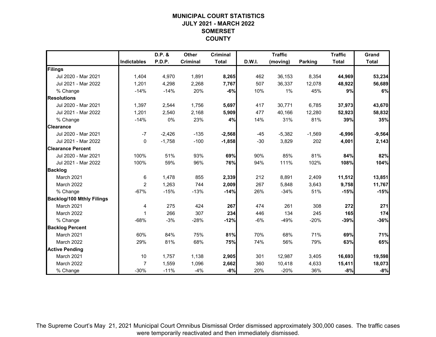# **MUNICIPAL COURT STATISTICSJULY 2021 - MARCH 2022 SOMERSET COUNTY**

|                                  |                    | D.P. &   | Other    | <b>Criminal</b> |        | <b>Traffic</b> |                | <b>Traffic</b> | Grand        |
|----------------------------------|--------------------|----------|----------|-----------------|--------|----------------|----------------|----------------|--------------|
|                                  | <b>Indictables</b> | P.D.P.   | Criminal | <b>Total</b>    | D.W.I. | (moving)       | <b>Parking</b> | <b>Total</b>   | <b>Total</b> |
| Filings                          |                    |          |          |                 |        |                |                |                |              |
| Jul 2020 - Mar 2021              | 1,404              | 4,970    | 1,891    | 8,265           | 462    | 36,153         | 8,354          | 44,969         | 53,234       |
| Jul 2021 - Mar 2022              | 1,201              | 4,298    | 2,268    | 7,767           | 507    | 36,337         | 12,078         | 48,922         | 56,689       |
| % Change                         | $-14%$             | $-14%$   | 20%      | $-6%$           | 10%    | 1%             | 45%            | 9%             | 6%           |
| <b>Resolutions</b>               |                    |          |          |                 |        |                |                |                |              |
| Jul 2020 - Mar 2021              | 1,397              | 2,544    | 1,756    | 5,697           | 417    | 30,771         | 6,785          | 37,973         | 43,670       |
| Jul 2021 - Mar 2022              | 1,201              | 2,540    | 2,168    | 5,909           | 477    | 40,166         | 12,280         | 52,923         | 58,832       |
| % Change                         | $-14%$             | 0%       | 23%      | 4%              | 14%    | 31%            | 81%            | 39%            | 35%          |
| <b>Clearance</b>                 |                    |          |          |                 |        |                |                |                |              |
| Jul 2020 - Mar 2021              | $-7$               | $-2,426$ | $-135$   | $-2,568$        | $-45$  | $-5,382$       | $-1,569$       | $-6,996$       | $-9,564$     |
| Jul 2021 - Mar 2022              | 0                  | $-1,758$ | $-100$   | $-1,858$        | $-30$  | 3,829          | 202            | 4,001          | 2,143        |
| <b>Clearance Percent</b>         |                    |          |          |                 |        |                |                |                |              |
| Jul 2020 - Mar 2021              | 100%               | 51%      | 93%      | 69%             | 90%    | 85%            | 81%            | 84%            | 82%          |
| Jul 2021 - Mar 2022              | 100%               | 59%      | 96%      | 76%             | 94%    | 111%           | 102%           | 108%           | 104%         |
| <b>Backlog</b>                   |                    |          |          |                 |        |                |                |                |              |
| March 2021                       | 6                  | 1,478    | 855      | 2,339           | 212    | 8,891          | 2,409          | 11,512         | 13,851       |
| March 2022                       | $\overline{2}$     | 1,263    | 744      | 2,009           | 267    | 5,848          | 3,643          | 9,758          | 11,767       |
| % Change                         | $-67%$             | $-15%$   | $-13%$   | $-14%$          | 26%    | $-34%$         | 51%            | $-15%$         | $-15%$       |
| <b>Backlog/100 Mthly Filings</b> |                    |          |          |                 |        |                |                |                |              |
| March 2021                       | 4                  | 275      | 424      | 267             | 474    | 261            | 308            | 272            | 271          |
| March 2022                       | 1                  | 266      | 307      | 234             | 446    | 134            | 245            | 165            | 174          |
| % Change                         | $-68%$             | $-3%$    | $-28%$   | $-12%$          | $-6%$  | $-49%$         | $-20%$         | $-39%$         | $-36%$       |
| <b>Backlog Percent</b>           |                    |          |          |                 |        |                |                |                |              |
| March 2021                       | 60%                | 84%      | 75%      | 81%             | 70%    | 68%            | 71%            | 69%            | 71%          |
| March 2022                       | 29%                | 81%      | 68%      | 75%             | 74%    | 56%            | 79%            | 63%            | 65%          |
| <b>Active Pending</b>            |                    |          |          |                 |        |                |                |                |              |
| March 2021                       | 10                 | 1,757    | 1,138    | 2,905           | 301    | 12,987         | 3,405          | 16,693         | 19,598       |
| March 2022                       | $\overline{7}$     | 1,559    | 1,096    | 2,662           | 360    | 10,418         | 4,633          | 15,411         | 18,073       |
| % Change                         | $-30%$             | $-11%$   | $-4%$    | $-8%$           | 20%    | $-20%$         | 36%            | $-8%$          | $-8%$        |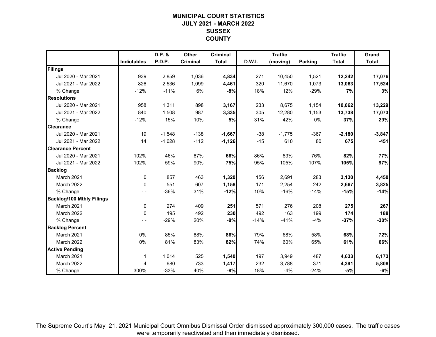# **MUNICIPAL COURT STATISTICSJULY 2021 - MARCH 2022 SUSSEX COUNTY**

|                                  |                    | D.P. &   | <b>Other</b> | <b>Criminal</b> |        | <b>Traffic</b> |                | <b>Traffic</b> | Grand        |
|----------------------------------|--------------------|----------|--------------|-----------------|--------|----------------|----------------|----------------|--------------|
|                                  | <b>Indictables</b> | P.D.P.   | Criminal     | <b>Total</b>    | D.W.I. | (moving)       | <b>Parking</b> | <b>Total</b>   | <b>Total</b> |
| Filings                          |                    |          |              |                 |        |                |                |                |              |
| Jul 2020 - Mar 2021              | 939                | 2,859    | 1,036        | 4,834           | 271    | 10,450         | 1,521          | 12,242         | 17,076       |
| Jul 2021 - Mar 2022              | 826                | 2,536    | 1,099        | 4,461           | 320    | 11,670         | 1,073          | 13,063         | 17,524       |
| % Change                         | $-12%$             | $-11%$   | 6%           | $-8%$           | 18%    | 12%            | $-29%$         | 7%             | 3%           |
| <b>Resolutions</b>               |                    |          |              |                 |        |                |                |                |              |
| Jul 2020 - Mar 2021              | 958                | 1,311    | 898          | 3,167           | 233    | 8,675          | 1,154          | 10,062         | 13,229       |
| Jul 2021 - Mar 2022              | 840                | 1,508    | 987          | 3,335           | 305    | 12,280         | 1,153          | 13,738         | 17,073       |
| % Change                         | $-12%$             | 15%      | 10%          | 5%              | 31%    | 42%            | 0%             | 37%            | 29%          |
| <b>Clearance</b>                 |                    |          |              |                 |        |                |                |                |              |
| Jul 2020 - Mar 2021              | 19                 | $-1,548$ | $-138$       | $-1,667$        | $-38$  | $-1,775$       | $-367$         | $-2,180$       | $-3,847$     |
| Jul 2021 - Mar 2022              | 14                 | $-1,028$ | $-112$       | $-1,126$        | $-15$  | 610            | 80             | 675            | $-451$       |
| <b>Clearance Percent</b>         |                    |          |              |                 |        |                |                |                |              |
| Jul 2020 - Mar 2021              | 102%               | 46%      | 87%          | 66%             | 86%    | 83%            | 76%            | 82%            | 77%          |
| Jul 2021 - Mar 2022              | 102%               | 59%      | 90%          | 75%             | 95%    | 105%           | 107%           | 105%           | 97%          |
| <b>Backlog</b>                   |                    |          |              |                 |        |                |                |                |              |
| March 2021                       | 0                  | 857      | 463          | 1,320           | 156    | 2,691          | 283            | 3,130          | 4,450        |
| March 2022                       | $\mathbf 0$        | 551      | 607          | 1,158           | 171    | 2,254          | 242            | 2,667          | 3,825        |
| % Change                         | $ -$               | $-36%$   | 31%          | $-12%$          | 10%    | $-16%$         | $-14%$         | $-15%$         | $-14%$       |
| <b>Backlog/100 Mthly Filings</b> |                    |          |              |                 |        |                |                |                |              |
| March 2021                       | 0                  | 274      | 409          | 251             | 571    | 276            | 208            | 275            | 267          |
| March 2022                       | $\mathbf 0$        | 195      | 492          | 230             | 492    | 163            | 199            | 174            | 188          |
| % Change                         | $- -$              | $-29%$   | 20%          | $-8%$           | $-14%$ | $-41%$         | $-4%$          | $-37%$         | $-30%$       |
| <b>Backlog Percent</b>           |                    |          |              |                 |        |                |                |                |              |
| March 2021                       | 0%                 | 85%      | 88%          | 86%             | 79%    | 68%            | 58%            | 68%            | 72%          |
| March 2022                       | 0%                 | 81%      | 83%          | 82%             | 74%    | 60%            | 65%            | 61%            | 66%          |
| <b>Active Pending</b>            |                    |          |              |                 |        |                |                |                |              |
| March 2021                       | 1                  | 1,014    | 525          | 1,540           | 197    | 3,949          | 487            | 4,633          | 6,173        |
| March 2022                       | 4                  | 680      | 733          | 1,417           | 232    | 3,788          | 371            | 4,391          | 5,808        |
| % Change                         | 300%               | $-33%$   | 40%          | $-8%$           | 18%    | $-4%$          | $-24%$         | $-5%$          | $-6%$        |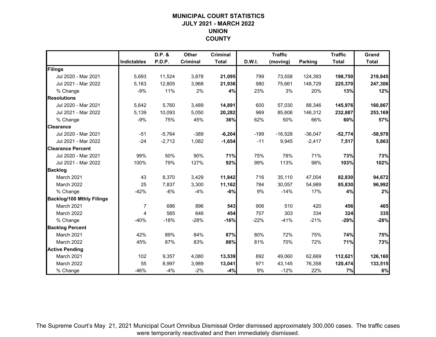# **MUNICIPAL COURT STATISTICSJULY 2021 - MARCH 2022 UNION COUNTY**

|                                  |                    | D.P. &   | Other    | <b>Criminal</b> |        | <b>Traffic</b> |                | <b>Traffic</b> | Grand        |
|----------------------------------|--------------------|----------|----------|-----------------|--------|----------------|----------------|----------------|--------------|
|                                  | <b>Indictables</b> | P.D.P.   | Criminal | <b>Total</b>    | D.W.I. | (moving)       | <b>Parking</b> | <b>Total</b>   | <b>Total</b> |
| Filings                          |                    |          |          |                 |        |                |                |                |              |
| Jul 2020 - Mar 2021              | 5,693              | 11,524   | 3,878    | 21,095          | 799    | 73,558         | 124,393        | 198,750        | 219,845      |
| Jul 2021 - Mar 2022              | 5,163              | 12,805   | 3,968    | 21,936          | 980    | 75,661         | 148,729        | 225,370        | 247,306      |
| % Change                         | $-9%$              | 11%      | 2%       | 4%              | 23%    | 3%             | 20%            | 13%            | 12%          |
| <b>Resolutions</b>               |                    |          |          |                 |        |                |                |                |              |
| Jul 2020 - Mar 2021              | 5,642              | 5,760    | 3,489    | 14,891          | 600    | 57,030         | 88,346         | 145,976        | 160,867      |
| Jul 2021 - Mar 2022              | 5,139              | 10,093   | 5,050    | 20,282          | 969    | 85,606         | 146,312        | 232,887        | 253,169      |
| % Change                         | $-9%$              | 75%      | 45%      | 36%             | 62%    | 50%            | 66%            | 60%            | 57%          |
| <b>Clearance</b>                 |                    |          |          |                 |        |                |                |                |              |
| Jul 2020 - Mar 2021              | $-51$              | $-5,764$ | $-389$   | $-6,204$        | $-199$ | $-16,528$      | $-36,047$      | $-52,774$      | $-58,978$    |
| Jul 2021 - Mar 2022              | $-24$              | $-2,712$ | 1,082    | $-1,654$        | $-11$  | 9,945          | $-2,417$       | 7,517          | 5,863        |
| <b>Clearance Percent</b>         |                    |          |          |                 |        |                |                |                |              |
| Jul 2020 - Mar 2021              | 99%                | 50%      | 90%      | 71%             | 75%    | 78%            | 71%            | 73%            | 73%          |
| Jul 2021 - Mar 2022              | 100%               | 79%      | 127%     | 92%             | 99%    | 113%           | 98%            | 103%           | 102%         |
| <b>Backlog</b>                   |                    |          |          |                 |        |                |                |                |              |
| March 2021                       | 43                 | 8,370    | 3,429    | 11,842          | 716    | 35,110         | 47,004         | 82,830         | 94,672       |
| March 2022                       | 25                 | 7,837    | 3,300    | 11,162          | 784    | 30,057         | 54,989         | 85,830         | 96,992       |
| % Change                         | $-42%$             | $-6%$    | $-4%$    | $-6%$           | 9%     | $-14%$         | 17%            | 4%             | 2%           |
| <b>Backlog/100 Mthly Filings</b> |                    |          |          |                 |        |                |                |                |              |
| March 2021                       | 7                  | 686      | 896      | 543             | 906    | 510            | 420            | 456            | 465          |
| March 2022                       | 4                  | 565      | 646      | 454             | 707    | 303            | 334            | 324            | 335          |
| % Change                         | $-40%$             | $-18%$   | $-28%$   | $-16%$          | $-22%$ | $-41%$         | $-21%$         | $-29%$         | $-28%$       |
| <b>Backlog Percent</b>           |                    |          |          |                 |        |                |                |                |              |
| March 2021                       | 42%                | 89%      | 84%      | 87%             | 80%    | 72%            | 75%            | 74%            | 75%          |
| March 2022                       | 45%                | 87%      | 83%      | 86%             | 81%    | 70%            | 72%            | 71%            | 73%          |
| <b>Active Pending</b>            |                    |          |          |                 |        |                |                |                |              |
| March 2021                       | 102                | 9,357    | 4,080    | 13,539          | 892    | 49,060         | 62,669         | 112,621        | 126,160      |
| March 2022                       | 55                 | 8,997    | 3,989    | 13,041          | 971    | 43,145         | 76,358         | 120,474        | 133,515      |
| % Change                         | $-46%$             | $-4%$    | $-2%$    | $-4%$           | 9%     | $-12%$         | 22%            | 7%             | 6%           |